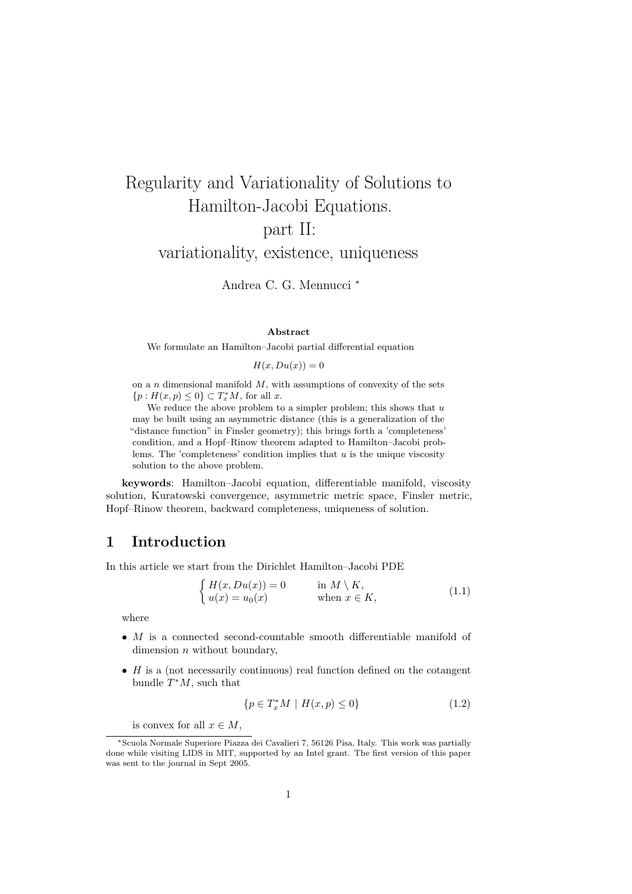# Regularity and Variationality of Solutions to Hamilton-Jacobi Equations. part II:

variationality, existence, uniqueness

Andrea C. G. Mennucci *<sup>∗</sup>*

### **Abstract**

We formulate an Hamilton–Jacobi partial differential equation

 $H(x, Du(x)) = 0$ 

on a *n* dimensional manifold *M*, with assumptions of convexity of the sets *{p* : *H*(*x, p*) ≤ 0} ⊂ *T*<sup>∗</sup><sub>*x*</sub></sup>*M*, for all *x*.

We reduce the above problem to a simpler problem; this shows that *u* may be built using an asymmetric distance (this is a generalization of the "distance function" in Finsler geometry); this brings forth a 'completeness' condition, and a Hopf–Rinow theorem adapted to Hamilton–Jacobi problems. The 'completeness' condition implies that *u* is the unique viscosity solution to the above problem.

**keywords**: Hamilton–Jacobi equation, differentiable manifold, viscosity solution, Kuratowski convergence, asymmetric metric space, Finsler metric, Hopf–Rinow theorem, backward completeness, uniqueness of solution.

### **1 Introduction**

In this article we start from the Dirichlet Hamilton–Jacobi PDE

$$
\begin{cases}\nH(x, Du(x)) = 0 & \text{in } M \setminus K, \\
u(x) = u_0(x) & \text{when } x \in K,\n\end{cases}
$$
\n(1.1)

where

- *M* is a connected second-countable smooth differentiable manifold of dimension *n* without boundary,
- *H* is a (not necessarily continuous) real function defined on the cotangent bundle *T <sup>∗</sup>M*, such that

$$
\{p \in T_x^*M \mid H(x, p) \le 0\} \tag{1.2}
$$

is convex for all  $x \in M$ ,

*<sup>∗</sup>*Scuola Normale Superiore Piazza dei Cavalieri 7, 56126 Pisa, Italy. This work was partially done while visiting LIDS in MIT, supported by an Intel grant. The first version of this paper was sent to the journal in Sept 2005.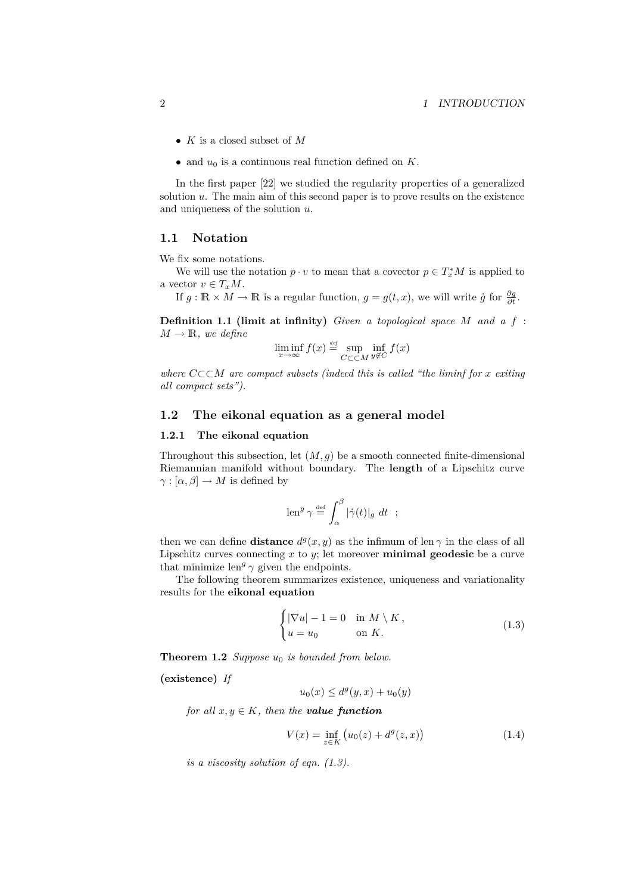- *• K* is a closed subset of *M*
- *•* and *u*<sup>0</sup> is a continuous real function defined on *K*.

In the first paper [22] we studied the regularity properties of a generalized solution *u*. The main aim of this second paper is to prove results on the existence and uniqueness of the solution *u*.

### **1.1 Notation**

We fix some notations.

We will use the notation  $p \cdot v$  to mean that a covector  $p \in T_x^*M$  is applied to a vector  $v \in T_xM$ .

If  $g : \mathbb{R} \times M \to \mathbb{R}$  is a regular function,  $g = g(t, x)$ , we will write  $\dot{g}$  for  $\frac{\partial g}{\partial t}$ .

**Definition 1.1 (limit at infinity)** *Given a topological space M and a f* :  $M \rightarrow \mathbb{R}$ *, we define* 

$$
\liminf_{x \to \infty} f(x) \stackrel{\text{def}}{=} \sup_{C \subset \subset M} \inf_{y \notin C} f(x)
$$

*where C⊂⊂M are compact subsets (indeed this is called "the liminf for x exiting all compact sets").*

### **1.2 The eikonal equation as a general model**

### **1.2.1 The eikonal equation**

Throughout this subsection, let  $(M, g)$  be a smooth connected finite-dimensional Riemannian manifold without boundary. The **length** of a Lipschitz curve  $\gamma : [\alpha, \beta] \to M$  is defined by

$$
\operatorname{len}^g \gamma \stackrel{\text{def}}{=} \int_{\alpha}^{\beta} |\dot{\gamma}(t)|_g \ dt \ ;
$$

then we can define **distance**  $d^g(x, y)$  as the infimum of len  $\gamma$  in the class of all Lipschitz curves connecting *x* to *y*; let moreover **minimal geodesic** be a curve that minimize  $len^g \gamma$  given the endpoints.

The following theorem summarizes existence, uniqueness and variationality results for the **eikonal equation**

$$
\begin{cases} |\nabla u| - 1 = 0 & \text{in } M \setminus K, \\ u = u_0 & \text{on } K. \end{cases}
$$
 (1.3)

**Theorem 1.2** *Suppose*  $u_0$  *is bounded from below.* 

**(existence)** *If*

 $u_0(x) \leq d^g(y, x) + u_0(y)$ 

*for all*  $x, y \in K$ *, then the value function* 

$$
V(x) = \inf_{z \in K} \left( u_0(z) + d^g(z, x) \right) \tag{1.4}
$$

*is a viscosity solution of eqn. (1.3).*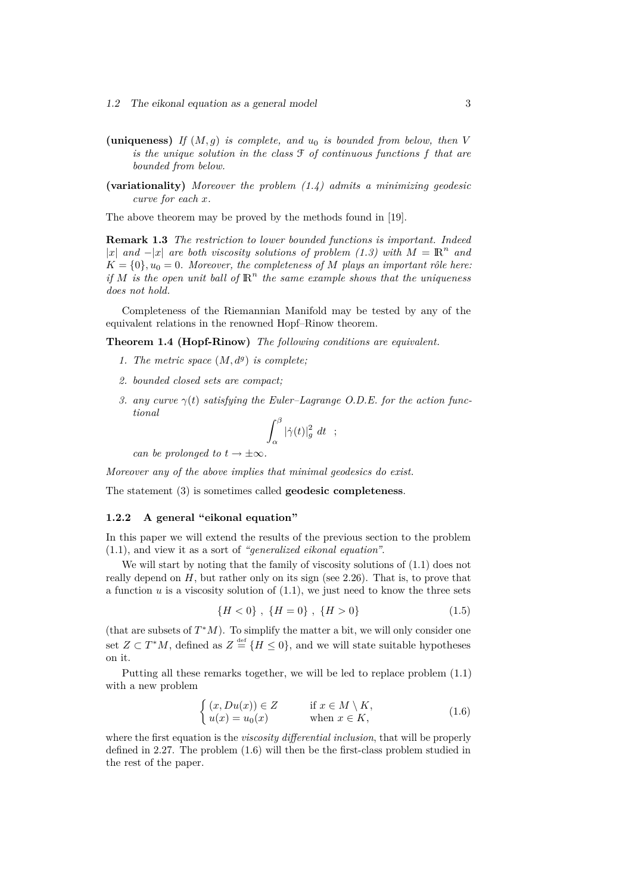- (uniqueness) *If*  $(M, g)$  *is complete, and*  $u_0$  *is bounded from below, then V is the unique solution in the class* F *of continuous functions f that are bounded from below.*
- **(variationality)** *Moreover the problem (1.4) admits a minimizing geodesic curve for each x.*

The above theorem may be proved by the methods found in [19].

**Remark 1.3** *The restriction to lower bounded functions is important. Indeed*  $|x|$  *and* − $|x|$  *are both viscosity solutions of problem* (1.3) with  $M = \mathbb{R}^n$  *and*  $K = \{0\}$ ,  $u_0 = 0$ *. Moreover, the completeness of M plays an important rôle here: if*  $M$  *is the open unit ball of*  $\mathbb{R}^n$  *the same example shows that the uniqueness does not hold.*

Completeness of the Riemannian Manifold may be tested by any of the equivalent relations in the renowned Hopf–Rinow theorem.

**Theorem 1.4 (Hopf-Rinow)** *The following conditions are equivalent.*

- *1. The metric space*  $(M, d^g)$  *is complete;*
- *2. bounded closed sets are compact;*
- *3. any curve*  $\gamma(t)$  *satisfying the Euler–Lagrange O.D.E.* for the action func*tional*

$$
\int_{\alpha}^{\beta} |\dot{\gamma}(t)|^2_g dt \quad ;
$$

*can be prolonged to*  $t \rightarrow \pm \infty$ *.* 

*Moreover any of the above implies that minimal geodesics do exist.*

The statement (3) is sometimes called **geodesic completeness**.

### **1.2.2 A general "eikonal equation"**

In this paper we will extend the results of the previous section to the problem (1.1), and view it as a sort of *"generalized eikonal equation"*.

We will start by noting that the family of viscosity solutions of  $(1.1)$  does not really depend on *H*, but rather only on its sign (see 2.26). That is, to prove that a function  $u$  is a viscosity solution of  $(1.1)$ , we just need to know the three sets

$$
\{H < 0\}, \ \{H = 0\}, \ \{H > 0\} \tag{1.5}
$$

(that are subsets of  $T^*M$ ). To simplify the matter a bit, we will only consider one set  $Z \subset T^*M$ , defined as  $Z \stackrel{\text{def}}{=} \{H \leq 0\}$ , and we will state suitable hypotheses on it.

Putting all these remarks together, we will be led to replace problem (1.1) with a new problem

$$
\begin{cases}\n(x, Du(x)) \in Z & \text{if } x \in M \setminus K, \\
u(x) = u_0(x) & \text{when } x \in K,\n\end{cases}
$$
\n(1.6)

where the first equation is the *viscosity differential inclusion*, that will be properly defined in 2.27. The problem (1.6) will then be the first-class problem studied in the rest of the paper.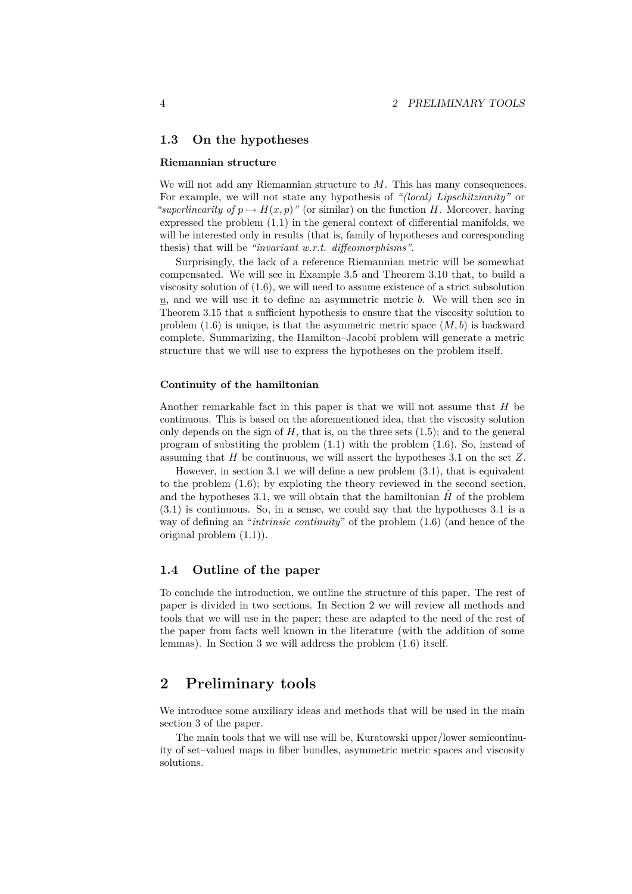### **1.3 On the hypotheses**

#### **Riemannian structure**

We will not add any Riemannian structure to *M*. This has many consequences. For example, we will not state any hypothesis of *"(local) Lipschitzianity"* or *"superlinearity of*  $p \mapsto H(x, p)$ " (or similar) on the function *H*. Moreover, having expressed the problem (1.1) in the general context of differential manifolds, we will be interested only in results (that is, family of hypotheses and corresponding thesis) that will be *"invariant w.r.t. diffeomorphisms"*.

Surprisingly, the lack of a reference Riemannian metric will be somewhat compensated. We will see in Example 3.5 and Theorem 3.10 that, to build a viscosity solution of (1.6), we will need to assume existence of a strict subsolution *u*, and we will use it to define an asymmetric metric *b*. We will then see in Theorem 3.15 that a sufficient hypothesis to ensure that the viscosity solution to problem  $(1.6)$  is unique, is that the asymmetric metric space  $(M, b)$  is backward complete. Summarizing, the Hamilton–Jacobi problem will generate a metric structure that we will use to express the hypotheses on the problem itself.

### **Continuity of the hamiltonian**

Another remarkable fact in this paper is that we will not assume that *H* be continuous. This is based on the aforementioned idea, that the viscosity solution only depends on the sign of  $H$ , that is, on the three sets  $(1.5)$ ; and to the general program of substiting the problem (1.1) with the problem (1.6). So, instead of assuming that *H* be continuous, we will assert the hypotheses 3.1 on the set *Z*.

However, in section 3.1 we will define a new problem (3.1), that is equivalent to the problem (1.6); by exploting the theory reviewed in the second section, and the hypotheses 3.1, we will obtain that the hamiltonian  $\hat{H}$  of the problem (3.1) is continuous. So, in a sense, we could say that the hypotheses 3.1 is a way of defining an "*intrinsic continuity*" of the problem (1.6) (and hence of the original problem (1.1)).

### **1.4 Outline of the paper**

To conclude the introduction, we outline the structure of this paper. The rest of paper is divided in two sections. In Section 2 we will review all methods and tools that we will use in the paper; these are adapted to the need of the rest of the paper from facts well known in the literature (with the addition of some lemmas). In Section 3 we will address the problem (1.6) itself.

### **2 Preliminary tools**

We introduce some auxiliary ideas and methods that will be used in the main section 3 of the paper.

The main tools that we will use will be, Kuratowski upper/lower semicontinuity of set–valued maps in fiber bundles, asymmetric metric spaces and viscosity solutions.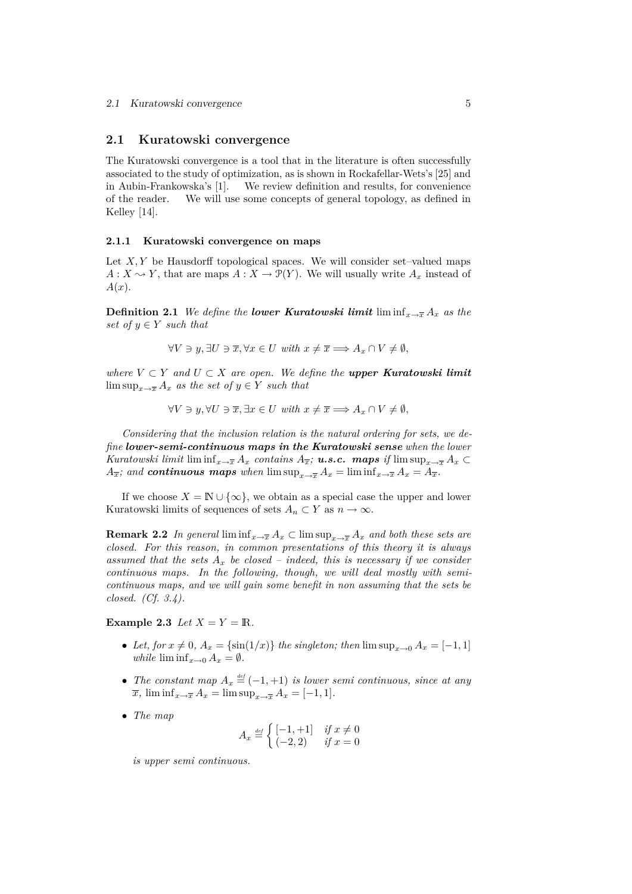### **2.1 Kuratowski convergence**

The Kuratowski convergence is a tool that in the literature is often successfully associated to the study of optimization, as is shown in Rockafellar-Wets's [25] and in Aubin-Frankowska's [1]. We review definition and results, for convenience of the reader. We will use some concepts of general topology, as defined in Kelley [14].

### **2.1.1 Kuratowski convergence on maps**

Let  $X, Y$  be Hausdorff topological spaces. We will consider set-valued maps  $A: X \rightarrow Y$ , that are maps  $A: X \rightarrow \mathcal{P}(Y)$ . We will usually write  $A_x$  instead of *A*(*x*).

**Definition 2.1** *We define the lower Kuratowski limit*  $\liminf_{x\to\overline{x}} A_x$  *as the set of*  $y \in Y$  *such that* 

*∀V*  $\ni$  *y*,  $\exists U \ni \overline{x}, \forall x \in U$  *with*  $x \neq \overline{x} \implies A_x \cap V \neq \emptyset$ ,

 $where V ⊂ Y and U ⊂ X are open. We define the upper Kuratowski limit$ lim  $\sup_{x\to\overline{x}} A_x$  *as the set of*  $y \in Y$  *such that* 

$$
\forall V \ni y, \forall U \ni \overline{x}, \exists x \in U \text{ with } x \neq \overline{x} \Longrightarrow A_x \cap V \neq \emptyset,
$$

*Considering that the inclusion relation is the natural ordering for sets, we define lower-semi-continuous maps in the Kuratowski sense when the lower Kuratowski limit* lim inf $_{x\to\overline{x}} A_x$  *contains*  $A_{\overline{x}}$ ; *u.s.c.* **maps** if lim sup $_{x\to\overline{x}} A_x$ *A*<sub>x</sub><sup>*j*</sup>; and *continuous maps* when  $\limsup_{x\to\overline{x}} A_x = \liminf_{x\to\overline{x}} A_x = A_{\overline{x}}$ .

If we choose  $X = \mathbb{N} \cup \{\infty\}$ , we obtain as a special case the upper and lower Kuratowski limits of sequences of sets  $A_n \subset Y$  as  $n \to \infty$ .

**Remark 2.2** *In general* liminf $_{x\to\overline{x}} A_x \subset \limsup_{x\to\overline{x}} A_x$  *and both these sets are closed. For this reason, in common presentations of this theory it is always assumed that the sets*  $A_x$  *be closed – indeed, this is necessary if we consider continuous maps. In the following, though, we will deal mostly with semicontinuous maps, and we will gain some benefit in non assuming that the sets be closed. (Cf. 3.4).*

### **Example 2.3** *Let*  $X = Y = \mathbb{R}$ *.*

- Let, for  $x \neq 0$ ,  $A_x = \{\sin(1/x)\}\$  *the singleton; then*  $\limsup_{x\to 0} A_x = [-1, 1]$ *while*  $\liminf_{x\to 0} A_x = \emptyset$ .
- *The constant map*  $A_x \stackrel{\text{\tiny def}}{=} (-1, +1)$  *is lower semi continuous, since at any*  $\overline{x}$ *,*  $\liminf_{x \to \overline{x}} A_x = \limsup_{x \to \overline{x}} A_x = [-1, 1].$
- *• The map*

$$
A_x \stackrel{\text{\tiny def}}{=} \begin{cases} \begin{bmatrix} -1, +1 \end{bmatrix} & \text{if } x \neq 0\\ (-2, 2) & \text{if } x = 0 \end{cases}
$$

*is upper semi continuous.*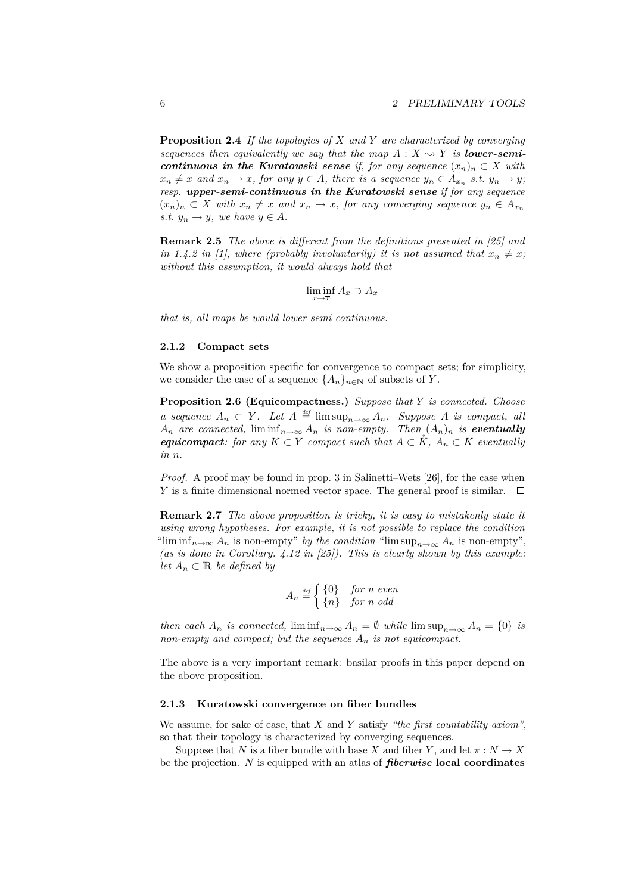**Proposition 2.4** *If the topologies of X and Y are characterized by converging sequences then equivalently we say that the map*  $A: X \rightarrow Y$  *is lower-semicontinuous in the Kuratowski sense if, for any sequence*  $(x_n)_n \subset X$  *with*  $x_n \neq x$  and  $x_n \to x$ , for any  $y \in A$ , there is a sequence  $y_n \in A_{x_n}$  s.t.  $y_n \to y$ , *resp. upper-semi-continuous in the Kuratowski sense if for any sequence*  $(x_n)_n \subset X$  with  $x_n \neq x$  and  $x_n \to x$ , for any converging sequence  $y_n \in A_{x_n}$ *s.t.*  $y_n \to y$ *, we have*  $y \in A$ *.* 

**Remark 2.5** *The above is different from the definitions presented in [25] and in 1.4.2 in [1], where (probably involuntarily) it is not assumed that*  $x_n \neq x$ ; *without this assumption, it would always hold that*

$$
\liminf_{x \to \overline{x}} A_x \supset A_{\overline{x}}
$$

*that is, all maps be would lower semi continuous.*

#### **2.1.2 Compact sets**

We show a proposition specific for convergence to compact sets; for simplicity, we consider the case of a sequence  ${A_n}_{n\in\mathbb{N}}$  of subsets of *Y*.

**Proposition 2.6 (Equicompactness.)** *Suppose that Y is connected. Choose a sequence*  $A_n \subset Y$ *. Let*  $A \stackrel{\text{def}}{=} \limsup_{n \to \infty} A_n$ *. Suppose A is compact, all*  $A_n$  *are connected,* lim $\inf_{n\to\infty} A_n$  *is non-empty. Then*  $(A_n)_n$  *is eventually equicompact: for any*  $K \subset Y$  *compact such that*  $A \subset K$ *,*  $A_n \subset K$  *eventually in n.*

*Proof.* A proof may be found in prop. 3 in Salinetti–Wets [26], for the case when *Y* is a finite dimensional normed vector space. The general proof is similar.  $\Box$ 

**Remark 2.7** *The above proposition is tricky, it is easy to mistakenly state it using wrong hypotheses. For example, it is not possible to replace the condition* "lim  $\inf_{n\to\infty} A_n$  is non-empty" *by the condition* "lim  $\sup_{n\to\infty} A_n$  is non-empty", *(as is done in Corollary. 4.12 in [25]). This is clearly shown by this example: let*  $A_n$  ⊂ **R** *be defined by* 

$$
A_n \stackrel{\text{\tiny def}}{=} \begin{cases} \{0\} & \text{for } n \text{ even} \\ \{n\} & \text{for } n \text{ odd} \end{cases}
$$

*then each*  $A_n$  *is connected,*  $\liminf_{n\to\infty} A_n = \emptyset$  *while*  $\limsup_{n\to\infty} A_n = \{0\}$  *is non-empty and compact; but the sequence A<sup>n</sup> is not equicompact.*

The above is a very important remark: basilar proofs in this paper depend on the above proposition.

### **2.1.3 Kuratowski convergence on fiber bundles**

We assume, for sake of ease, that *X* and *Y* satisfy *"the first countability axiom"*, so that their topology is characterized by converging sequences.

Suppose that *N* is a fiber bundle with base *X* and fiber *Y*, and let  $\pi : N \to X$ be the projection. *N* is equipped with an atlas of *fiberwise* **local coordinates**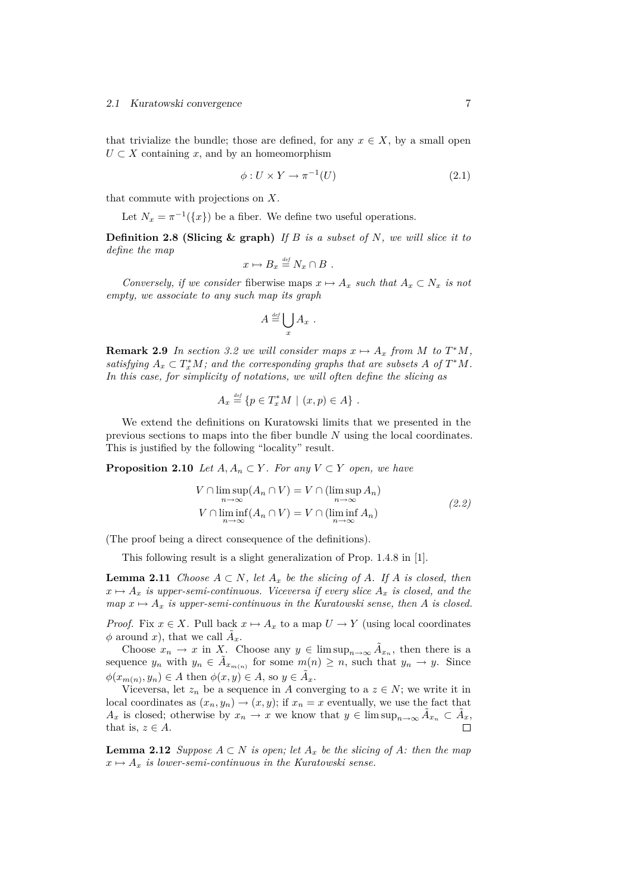that trivialize the bundle; those are defined, for any  $x \in X$ , by a small open  $U \subset X$  containing *x*, and by an homeomorphism

$$
\phi: U \times Y \to \pi^{-1}(U) \tag{2.1}
$$

that commute with projections on *X*.

Let  $N_x = \pi^{-1}(\lbrace x \rbrace)$  be a fiber. We define two useful operations.

**Definition 2.8 (Slicing & graph)** *If B is a subset of N, we will slice it to define the map*

$$
x \mapsto B_x \stackrel{\text{\tiny def}}{=} N_x \cap B \ .
$$

*Conversely, if we consider* fiberwise maps  $x \mapsto A_x$  *such that*  $A_x \subset N_x$  *is not empty, we associate to any such map its graph*

$$
A \stackrel{\text{\tiny def}}{=} \bigcup_x A_x \ .
$$

**Remark 2.9** *In section 3.2 we will consider maps*  $x \mapsto A_x$  *from M to*  $T^*M$ *, satisfying*  $A_x \subset T_x^*M$ ; and the corresponding graphs that are subsets  $A$  of  $T^*M$ . *In this case, for simplicity of notations, we will often define the slicing as*

$$
A_x \stackrel{\text{\tiny def}}{=} \{ p \in T_x^* M \mid (x, p) \in A \} .
$$

We extend the definitions on Kuratowski limits that we presented in the previous sections to maps into the fiber bundle *N* using the local coordinates. This is justified by the following "locality" result.

**Proposition 2.10** *Let*  $A, A_n \subset Y$ *. For any*  $V \subset Y$  *open, we have* 

$$
V \cap \limsup_{n \to \infty} (A_n \cap V) = V \cap (\limsup_{n \to \infty} A_n)
$$
  
\n
$$
V \cap \liminf_{n \to \infty} (A_n \cap V) = V \cap (\liminf_{n \to \infty} A_n)
$$
 (2.2)

(The proof being a direct consequence of the definitions).

This following result is a slight generalization of Prop. 1.4.8 in [1].

**Lemma 2.11** *Choose*  $A \subset N$ *, let*  $A_x$  *be the slicing of*  $A$ *. If*  $A$  *is closed, then*  $x \mapsto A_x$  *is upper-semi-continuous. Viceversa if every slice*  $A_x$  *is closed, and the map*  $x \mapsto A_x$  *is upper-semi-continuous in the Kuratowski sense, then A is closed.* 

*Proof.* Fix  $x \in X$ . Pull back  $x \mapsto A_x$  to a map  $U \to Y$  (using local coordinates  $\phi$  around *x*), that we call  $\tilde{A}_x$ .

Choose  $x_n \to x$  in X. Choose any  $y \in \limsup_{n \to \infty} \tilde{A}_{x_n}$ , then there is a sequence  $y_n$  with  $y_n \in \tilde{A}_{x_{m(n)}}$  for some  $m(n) \geq n$ , such that  $y_n \to y$ . Since  $\phi(x_{m(n)}, y_n) \in A$  then  $\phi(x, y) \in A$ , so  $y \in \tilde{A}_x$ .

Viceversa, let  $z_n$  be a sequence in *A* converging to a  $z \in N$ ; we write it in local coordinates as  $(x_n, y_n) \rightarrow (x, y)$ ; if  $x_n = x$  eventually, we use the fact that *A*<sub>*x*</sub> is closed; otherwise by  $x_n \to x$  we know that  $y \in \limsup_{n \to \infty} \tilde{A}_{x_n} \subset \tilde{A}_x$ , that is,  $z \in A$ .

**Lemma 2.12** *Suppose*  $A ⊂ N$  *is open; let*  $A_x$  *be the slicing of*  $A$ *: then the map*  $x \mapsto A_x$  *is lower-semi-continuous in the Kuratowski sense.*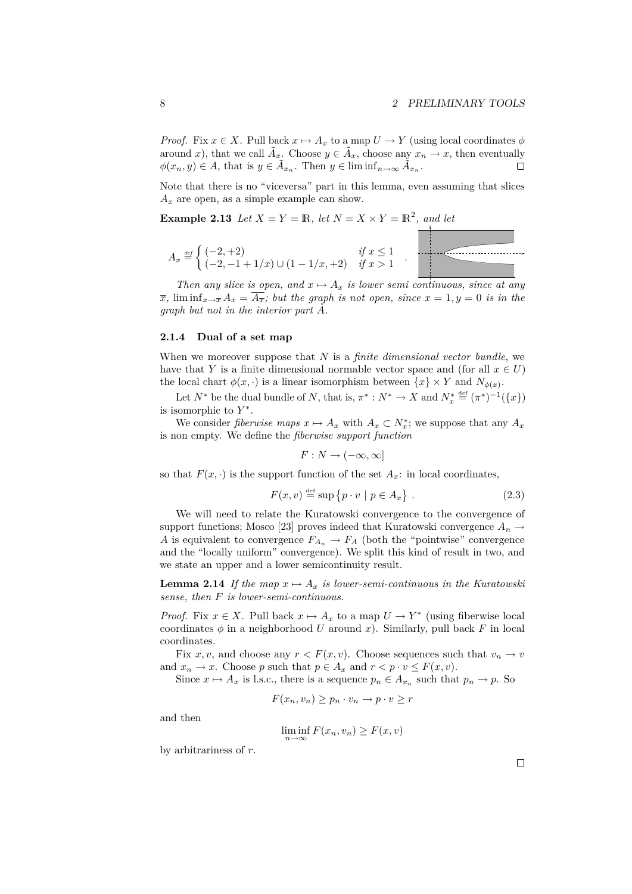*Proof.* Fix  $x \in X$ . Pull back  $x \mapsto A_x$  to a map  $U \to Y$  (using local coordinates  $\phi$ around *x*), that we call  $\tilde{A}_x$ . Choose  $y \in \tilde{A}_x$ , choose any  $x_n \to x$ , then eventually  $\phi(x_n, y) \in A$ , that is  $y \in \tilde{A}_{x_n}$ . Then  $y \in \liminf_{n \to \infty} \tilde{A}_{x_n}$ .  $\Box$ 

Note that there is no "viceversa" part in this lemma, even assuming that slices  $A_x$  are open, as a simple example can show.

**Example 2.13** *Let*  $X = Y = \mathbb{R}$ *, let*  $N = X \times Y = \mathbb{R}^2$ *, and let* 

$$
A_x \stackrel{\text{\tiny def}}{=} \begin{cases} (-2, +2) & \text{if } x \le 1 \\ (-2, -1 + 1/x) \cup (1 - 1/x, +2) & \text{if } x > 1 \end{cases}
$$

*Then any slice is open, and*  $x \mapsto A_x$  *is lower semi continuous, since at any*  $\overline{x}$ *,*  $\liminf_{x\to\overline{x}} A_x = \overline{A_{\overline{x}}}$ *; but the graph is not open, since*  $x = 1, y = 0$  *is in the graph but not in the interior part A*˚*.*

### **2.1.4 Dual of a set map**

When we moreover suppose that *N* is a *finite dimensional vector bundle*, we have that *Y* is a finite dimensional normable vector space and (for all  $x \in U$ ) the local chart  $\phi(x, \cdot)$  is a linear isomorphism between  $\{x\} \times Y$  and  $N_{\phi(x)}$ .

Let  $N^*$  be the dual bundle of  $N$ , that is,  $\pi^* : N^* \to X$  and  $N_x^* \stackrel{\text{def}}{=} (\pi^*)^{-1}(\lbrace x \rbrace)$ is isomorphic to *Y ∗* .

We consider *fiberwise maps*  $x \mapsto A_x$  with  $A_x \subset N_x^*$ ; we suppose that any  $A_x$ is non empty. We define the *fiberwise support function*

 $F: N \to (-\infty, \infty]$ 

so that  $F(x, \cdot)$  is the support function of the set  $A_x$ : in local coordinates,

$$
F(x, v) \stackrel{\text{def}}{=} \sup \{ p \cdot v \mid p \in A_x \} . \tag{2.3}
$$

We will need to relate the Kuratowski convergence to the convergence of support functions; Mosco [23] proves indeed that Kuratowski convergence  $A_n \to$ *A* is equivalent to convergence  $F_{A_n} \to F_A$  (both the "pointwise" convergence and the "locally uniform" convergence). We split this kind of result in two, and we state an upper and a lower semicontinuity result.

**Lemma 2.14** *If the map*  $x \mapsto A_x$  *is lower-semi-continuous in the Kuratowski sense, then F is lower-semi-continuous.*

*Proof.* Fix  $x \in X$ . Pull back  $x \mapsto A_x$  to a map  $U \to Y^*$  (using fiberwise local coordinates  $\phi$  in a neighborhood *U* around *x*). Similarly, pull back *F* in local coordinates.

Fix *x*, *v*, and choose any  $r < F(x, v)$ . Choose sequences such that  $v_n \to v$ and  $x_n \to x$ . Choose *p* such that  $p \in A_x$  and  $r < p \cdot v \leq F(x, v)$ .

Since  $x \mapsto A_x$  is l.s.c., there is a sequence  $p_n \in A_{x_n}$  such that  $p_n \to p$ . So

$$
F(x_n, v_n) \ge p_n \cdot v_n \to p \cdot v \ge r
$$

and then

$$
\liminf_{n \to \infty} F(x_n, v_n) \ge F(x, v)
$$

by arbitrariness of *r*.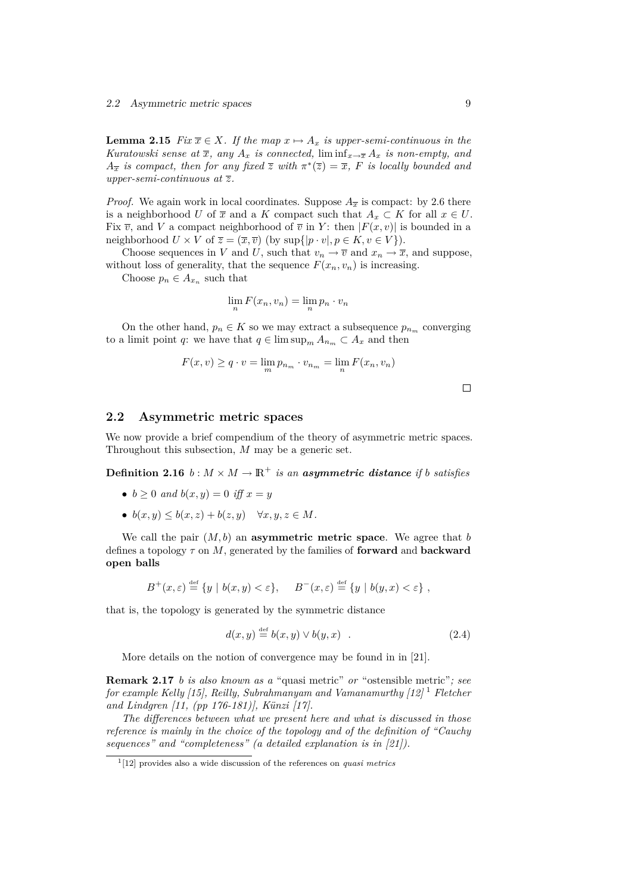**Lemma 2.15** *Fix*  $\overline{x} \in X$ *. If the map*  $x \mapsto A_x$  *is upper-semi-continuous in the Kuratowski sense at*  $\overline{x}$ *, any*  $A_x$  *is connected,* lim $\inf_{x \to \overline{x}} A_x$  *is non-empty, and A*<sub>*x*</sub> *is compact, then for any fixed*  $\overline{z}$  *with*  $\pi^*(\overline{z}) = \overline{x}$ *, F is locally bounded and upper-semi-continuous at z.*

*Proof.* We again work in local coordinates. Suppose  $A_{\overline{x}}$  is compact: by 2.6 there is a neighborhood *U* of  $\overline{x}$  and a *K* compact such that  $A_x \subset K$  for all  $x \in U$ . Fix  $\overline{v}$ , and V a compact neighborhood of  $\overline{v}$  in Y: then  $|F(x, v)|$  is bounded in a neighborhood  $U \times V$  of  $\overline{z} = (\overline{x}, \overline{v})$  (by  $\sup\{|p \cdot v|, p \in K, v \in V\}$ ).

Choose sequences in *V* and *U*, such that  $v_n \to \overline{v}$  and  $x_n \to \overline{x}$ , and suppose, without loss of generality, that the sequence  $F(x_n, v_n)$  is increasing.

Choose  $p_n \in A_{x_n}$  such that

$$
\lim_{n} F(x_n, v_n) = \lim_{n} p_n \cdot v_n
$$

On the other hand,  $p_n \in K$  so we may extract a subsequence  $p_{n_m}$  converging to a limit point *q*: we have that  $q \in \limsup_m A_{n_m} \subset A_x$  and then

$$
F(x, v) \ge q \cdot v = \lim_{m} p_{n_m} \cdot v_{n_m} = \lim_{n} F(x_n, v_n)
$$

 $\Box$ 

### **2.2 Asymmetric metric spaces**

We now provide a brief compendium of the theory of asymmetric metric spaces. Throughout this subsection, *M* may be a generic set.

**Definition 2.16**  $b: M \times M \to \mathbb{R}^+$  *is an asymmetric distance if <i>b satisfies* 

- $b \ge 0$  *and*  $b(x, y) = 0$  *iff*  $x = y$
- $b(x, y) \leq b(x, z) + b(z, y) \quad \forall x, y, z \in M$ .

We call the pair  $(M, b)$  an **asymmetric metric space**. We agree that *b* defines a topology *τ* on *M*, generated by the families of **forward** and **backward open balls**

$$
B^+(x,\varepsilon) \stackrel{\text{def}}{=} \{ y \mid b(x,y) < \varepsilon \}, \quad B^-(x,\varepsilon) \stackrel{\text{def}}{=} \{ y \mid b(y,x) < \varepsilon \},
$$

that is, the topology is generated by the symmetric distance

$$
d(x, y) \stackrel{\text{def}}{=} b(x, y) \lor b(y, x) . \tag{2.4}
$$

More details on the notion of convergence may be found in in [21].

**Remark 2.17** *b is also known as a* "quasi metric" *or* "ostensible metric"*; see for example Kelly [15], Reilly, Subrahmanyam and Vamanamurthy [12]* <sup>1</sup> *Fletcher and Lindgren [11, (pp 176-181)], Künzi [17].*

*The differences between what we present here and what is discussed in those reference is mainly in the choice of the topology and of the definition of "Cauchy sequences" and "completeness" (a detailed explanation is in [21]).*

<sup>1</sup> [12] provides also a wide discussion of the references on *quasi metrics*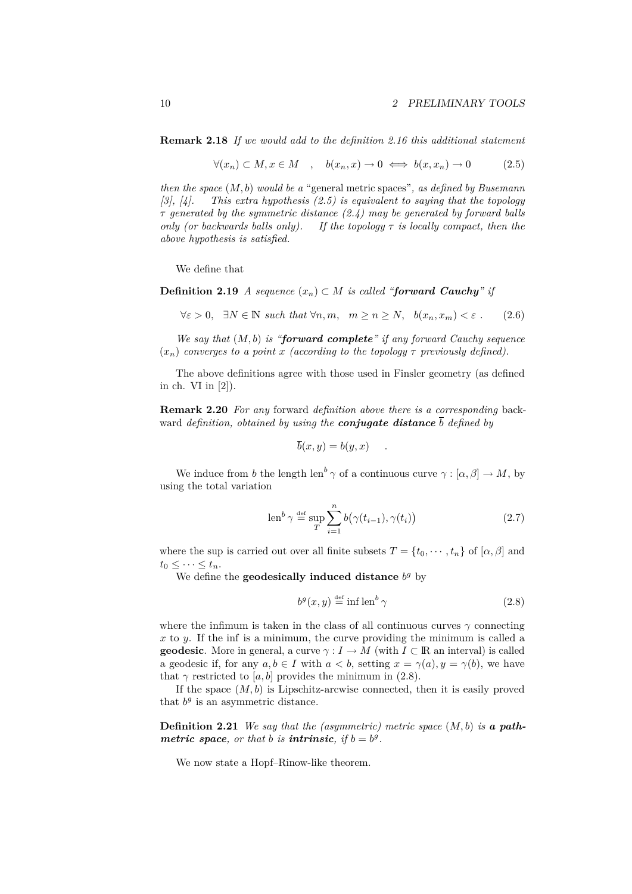**Remark 2.18** *If we would add to the definition 2.16 this additional statement*

$$
\forall (x_n) \subset M, x \in M \quad , \quad b(x_n, x) \to 0 \iff b(x, x_n) \to 0 \tag{2.5}
$$

*then the space* (*M, b*) *would be a* "general metric spaces"*, as defined by Busemann [3], [4]. This extra hypothesis (2.5) is equivalent to saying that the topology τ generated by the symmetric distance (2.4) may be generated by forward balls only (or backwards balls only). If the topology τ is locally compact, then the above hypothesis is satisfied.*

We define that

**Definition 2.19** *A sequence*  $(x_n)$  *⊂ M is called "forward Cauchy" if* 

$$
\forall \varepsilon > 0, \quad \exists N \in \mathbb{N} \text{ such that } \forall n, m, \quad m \ge n \ge N, \quad b(x_n, x_m) < \varepsilon \ . \tag{2.6}
$$

*We say that* (*M, b*) *is "forward complete" if any forward Cauchy sequence*  $(x_n)$  *converges to a point x (according to the topology*  $\tau$  *previously defined).* 

The above definitions agree with those used in Finsler geometry (as defined in ch. VI in [2]).

**Remark 2.20** *For any* forward *definition above there is a corresponding* backward *definition, obtained by using the conjugate distance b defined by*

$$
b(x, y) = b(y, x) \quad .
$$

We induce from *b* the length len<sup>b</sup>  $\gamma$  of a continuous curve  $\gamma : [\alpha, \beta] \to M$ , by using the total variation

$$
\operatorname{len}^b \gamma \stackrel{\text{def}}{=} \sup_{T} \sum_{i=1}^n b(\gamma(t_{i-1}), \gamma(t_i)) \tag{2.7}
$$

where the sup is carried out over all finite subsets  $T = \{t_0, \dots, t_n\}$  of  $[\alpha, \beta]$  and  $t_0 \leq \cdots \leq t_n$ .

We define the **geodesically induced distance**  $b<sup>g</sup>$  by

$$
b^g(x,y) \stackrel{\text{def}}{=} \inf \operatorname{len}^b \gamma \tag{2.8}
$$

where the infimum is taken in the class of all continuous curves  $\gamma$  connecting *x* to *y*. If the inf is a minimum, the curve providing the minimum is called a **geodesic**. More in general, a curve  $\gamma: I \to M$  (with  $I \subset \mathbb{R}$  an interval) is called a geodesic if, for any  $a, b \in I$  with  $a < b$ , setting  $x = \gamma(a), y = \gamma(b)$ , we have that  $\gamma$  restricted to [a, b] provides the minimum in (2.8).

If the space  $(M, b)$  is Lipschitz-arcwise connected, then it is easily proved that  $b^g$  is an asymmetric distance.

**Definition 2.21** *We say that the (asymmetric) metric space* (*M, b*) *is a pathmetric space, or that b is intrinsic, if* $b = b^g$ **.** 

We now state a Hopf–Rinow-like theorem.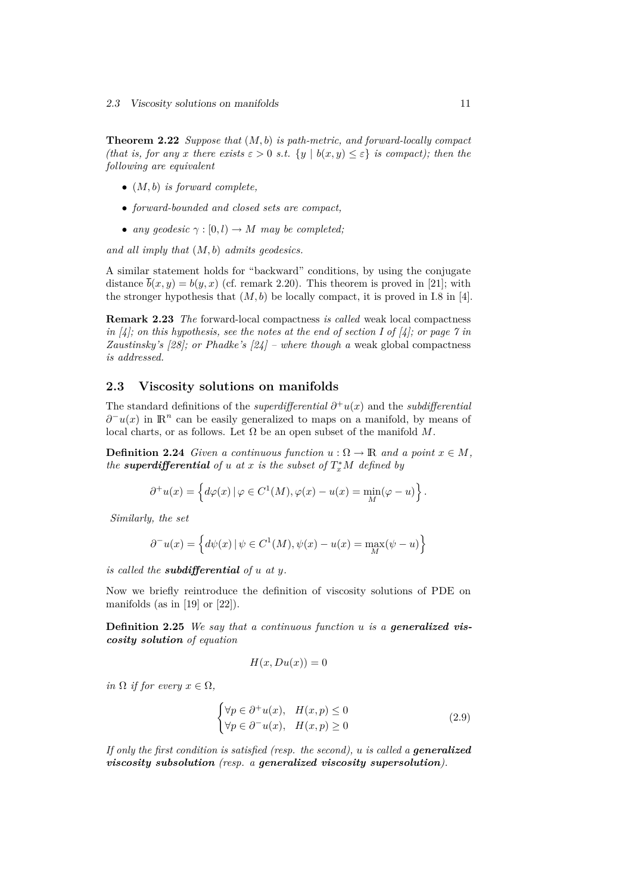**Theorem 2.22** *Suppose that* (*M, b*) *is path-metric, and forward-locally compact (that is, for any x there exists*  $\varepsilon > 0$  *s.t.*  $\{y \mid b(x, y) \leq \varepsilon\}$  *is compact); then the following are equivalent*

- *•* (*M, b*) *is forward complete,*
- *• forward-bounded and closed sets are compact,*
- *any geodesic*  $\gamma : [0, l) \rightarrow M$  *may be completed;*

*and all imply that* (*M, b*) *admits geodesics.*

A similar statement holds for "backward" conditions, by using the conjugate distance  $\bar{b}(x, y) = b(y, x)$  (cf. remark 2.20). This theorem is proved in [21]; with the stronger hypothesis that  $(M, b)$  be locally compact, it is proved in I.8 in [4].

**Remark 2.23** *The* forward-local compactness *is called* weak local compactness *in [4]; on this hypothesis, see the notes at the end of section I of [4]; or page 7 in Zaustinsky's [28]; or Phadke's [24] – where though a* weak global compactness *is addressed.*

### **2.3 Viscosity solutions on manifolds**

The standard definitions of the *superdifferential*  $\partial^+ u(x)$  and the *subdifferential*  $\partial$ <sup>-</sup> $u(x)$  in  $\mathbb{R}^n$  can be easily generalized to maps on a manifold, by means of local charts, or as follows. Let  $\Omega$  be an open subset of the manifold  $M$ .

**Definition 2.24** *Given a continuous function*  $u : \Omega \to \mathbb{R}$  *and a point*  $x \in M$ *, the* **superdifferential** of *u* at *x* is the subset of  $T_x^*M$  defined by

$$
\partial^+ u(x) = \left\{ d\varphi(x) \, | \, \varphi \in C^1(M), \varphi(x) - u(x) = \min_M(\varphi - u) \right\}.
$$

*Similarly, the set*

$$
\partial^{-}u(x) = \left\{ d\psi(x) \, | \, \psi \in C^{1}(M), \psi(x) - u(x) = \max_{M}(\psi - u) \right\}
$$

*is called the subdifferential of u at y.*

Now we briefly reintroduce the definition of viscosity solutions of PDE on manifolds (as in  $[19]$  or  $[22]$ ).

**Definition 2.25** *We say that a continuous function u is a generalized viscosity solution of equation*

$$
H(x, Du(x)) = 0
$$

*in*  $\Omega$  *if for every*  $x \in \Omega$ *,* 

$$
\begin{cases} \forall p \in \partial^+ u(x), & H(x, p) \le 0 \\ \forall p \in \partial^- u(x), & H(x, p) \ge 0 \end{cases}
$$
 (2.9)

*If only the first condition is satisfied (resp. the second), u is called a generalized viscosity subsolution (resp. a generalized viscosity supersolution).*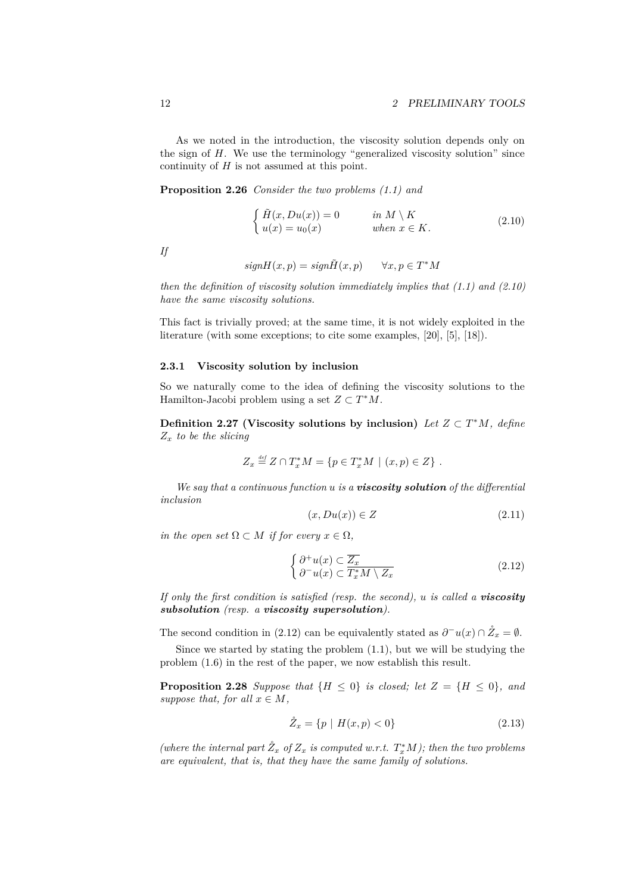As we noted in the introduction, the viscosity solution depends only on the sign of *H*. We use the terminology "generalized viscosity solution" since continuity of *H* is not assumed at this point.

**Proposition 2.26** *Consider the two problems (1.1) and*

$$
\begin{cases}\n\tilde{H}(x, Du(x)) = 0 & \text{in } M \setminus K \\
u(x) = u_0(x) & \text{when } x \in K.\n\end{cases}
$$
\n(2.10)

*If*

$$
signH(x, p) = sign\tilde{H}(x, p) \qquad \forall x, p \in T^*M
$$

*then the definition of viscosity solution immediately implies that (1.1) and (2.10) have the same viscosity solutions.*

This fact is trivially proved; at the same time, it is not widely exploited in the literature (with some exceptions; to cite some examples, [20], [5], [18]).

### **2.3.1 Viscosity solution by inclusion**

So we naturally come to the idea of defining the viscosity solutions to the Hamilton-Jacobi problem using a set  $Z \subset T^*M$ .

**Definition 2.27 (Viscosity solutions by inclusion)** *Let*  $Z \subset T^*M$ *, define Z<sup>x</sup> to be the slicing*

$$
Z_x \stackrel{\text{def}}{=} Z \cap T_x^* M = \{ p \in T_x^* M \mid (x, p) \in Z \} .
$$

*We say that a continuous function u is a viscosity solution of the differential inclusion*

$$
(x, Du(x)) \in Z \tag{2.11}
$$

*in the open set*  $\Omega \subset M$  *if for every*  $x \in \Omega$ *,* 

$$
\begin{cases}\n\partial^+ u(x) \subset \overline{Z_x} \\
\partial^- u(x) \subset \overline{T_x^* M \setminus Z_x}\n\end{cases} \tag{2.12}
$$

*If only the first condition is satisfied (resp. the second), u is called a viscosity subsolution (resp. a viscosity supersolution).*

The second condition in (2.12) can be equivalently stated as  $\partial^- u(x) \cap \mathring{Z}_x = \emptyset$ .

Since we started by stating the problem (1.1), but we will be studying the problem (1.6) in the rest of the paper, we now establish this result.

**Proposition 2.28** *Suppose that*  ${H \leq 0}$  *is closed; let*  $Z = {H \leq 0}$ *, and suppose that, for all*  $x \in M$ *,* 

$$
\mathring{Z}_x = \{ p \mid H(x, p) < 0 \} \tag{2.13}
$$

*(where the internal part*  $\mathring{Z}_x$  *of*  $Z_x$  *is computed w.r.t.*  $T_x^*M$ *); then the two problems are equivalent, that is, that they have the same family of solutions.*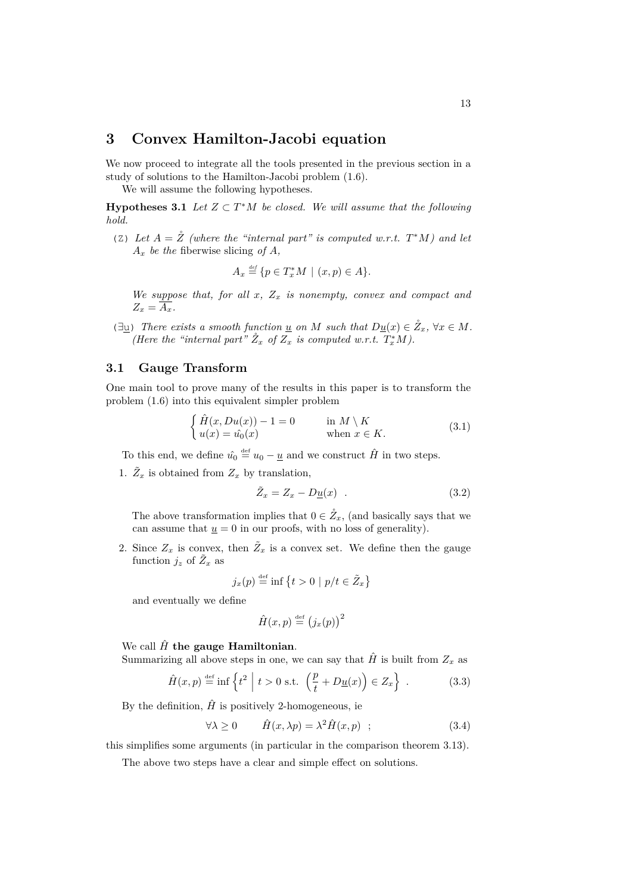### **3 Convex Hamilton-Jacobi equation**

We now proceed to integrate all the tools presented in the previous section in a study of solutions to the Hamilton-Jacobi problem (1.6).

We will assume the following hypotheses.

**Hypotheses 3.1** *Let*  $Z \subset T^*M$  *be closed. We will assume that the following hold.*

(Z) Let  $A = \overset{\circ}{Z}$  (where the "internal part" is computed w.r.t.  $T^*M$ ) and let  $A_x$  *be the* fiberwise slicing *of*  $A$ *,* 

$$
A_x \stackrel{\text{\tiny def}}{=} \{ p \in T_x^*M \mid (x, p) \in A \}.
$$

*We suppose that, for all x, Z<sup>x</sup> is nonempty, convex and compact and*  $Z_x = \overline{A_x}$ .

 $(\exists \underline{u})$  *There exists a smooth function* <u>*u*</u> *on M such that*  $D_{\underline{u}}(x) \in \mathring{Z}_x$ ,  $\forall x \in M$ . *(Here the "internal part"*  $\mathring{Z}_x$  *of*  $Z_x$  *is computed w.r.t.*  $T_x^*M$ *).* 

### **3.1 Gauge Transform**

One main tool to prove many of the results in this paper is to transform the problem (1.6) into this equivalent simpler problem

$$
\begin{cases}\n\hat{H}(x, Du(x)) - 1 = 0 & \text{in } M \setminus K \\
u(x) = \hat{u_0}(x) & \text{when } x \in K.\n\end{cases}
$$
\n(3.1)

To this end, we define  $\hat{u}_0 \stackrel{\text{def}}{=} u_0 - \underline{u}$  and we construct  $\hat{H}$  in two steps.

1.  $\tilde{Z}_x$  is obtained from  $Z_x$  by translation,

$$
\tilde{Z}_x = Z_x - D\underline{u}(x) \quad . \tag{3.2}
$$

The above transformation implies that  $0 \in \mathring{Z}_x$ , (and basically says that we can assume that  $\underline{u} = 0$  in our proofs, with no loss of generality).

2. Since  $Z_x$  is convex, then  $\tilde{Z}_x$  is a convex set. We define then the gauge function  $j_z$  of  $\tilde{Z}_x$  as

$$
j_x(p) \stackrel{\text{def}}{=} \inf \left\{ t > 0 \mid p/t \in \tilde{Z}_x \right\}
$$

and eventually we define

$$
\hat{H}(x,p) \stackrel{\text{def}}{=} (j_x(p))^2
$$

We call  $\hat{H}$  the gauge Hamiltonian.

Summarizing all above steps in one, we can say that  $\hat{H}$  is built from  $Z_x$  as

$$
\hat{H}(x,p) \stackrel{\text{def}}{=} \inf \left\{ t^2 \mid t > 0 \text{ s.t. } \left( \frac{p}{t} + D\underline{u}(x) \right) \in Z_x \right\} . \tag{3.3}
$$

By the definition,  $\hat{H}$  is positively 2-homogeneous, ie

$$
\forall \lambda \ge 0 \qquad \hat{H}(x,\lambda p) = \lambda^2 \hat{H}(x,p) \quad ; \tag{3.4}
$$

this simplifies some arguments (in particular in the comparison theorem 3.13).

The above two steps have a clear and simple effect on solutions.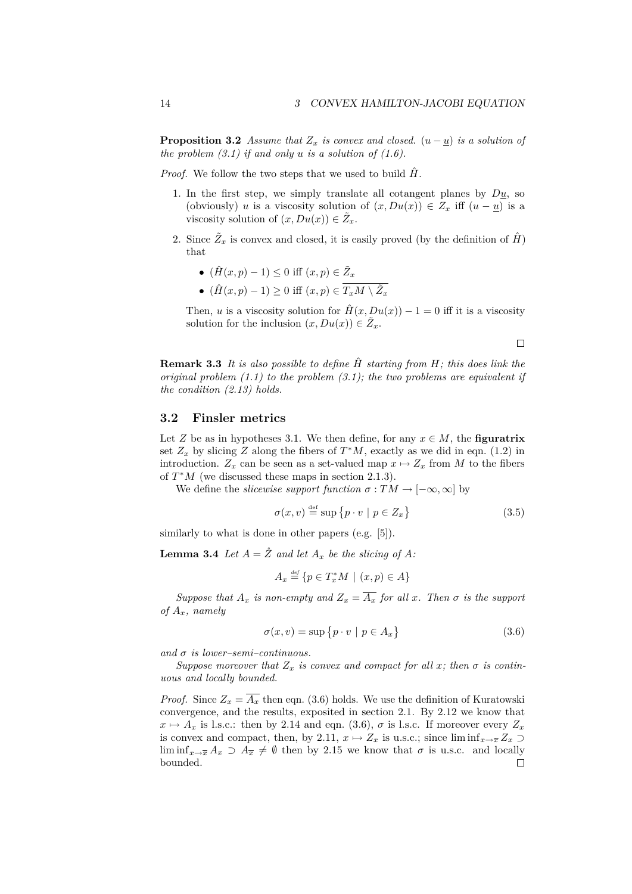**Proposition 3.2** *Assume that*  $Z_x$  *is convex and closed.*  $(u - \underline{u})$  *is a solution of the problem (3.1) if and only u is a solution of (1.6).*

*Proof.* We follow the two steps that we used to build  $\hat{H}$ .

- 1. In the first step, we simply translate all cotangent planes by *Du*, so (obviously) *u* is a viscosity solution of  $(x, Du(x)) \in Z_x$  iff  $(u - u)$  is a viscosity solution of  $(x, Du(x)) \in \tilde{Z}_x$ .
- 2. Since  $\tilde{Z}_x$  is convex and closed, it is easily proved (by the definition of  $\hat{H}$ ) that
	- $(\hat{H}(x, p) 1) \leq 0$  iff  $(x, p) \in \tilde{Z}_x$
	- $(\hat{H}(x, p) 1) \ge 0$  iff  $(x, p) \in \overline{T_x M \setminus \tilde{Z}_x}$

Then, *u* is a viscosity solution for  $\hat{H}(x, Du(x)) - 1 = 0$  iff it is a viscosity solution for the inclusion  $(x, Du(x)) \in \tilde{Z}_x$ .

 $\Box$ 

**Remark 3.3** *It is also possible to define H*ˆ *starting from H; this does link the original problem (1.1) to the problem (3.1); the two problems are equivalent if the condition (2.13) holds.*

### **3.2 Finsler metrics**

Let *Z* be as in hypotheses 3.1. We then define, for any  $x \in M$ , the **figuratrix** set  $Z_x$  by slicing  $Z$  along the fibers of  $T^*M$ , exactly as we did in eqn. (1.2) in introduction.  $Z_x$  can be seen as a set-valued map  $x \mapsto Z_x$  from M to the fibers of  $T^*M$  (we discussed these maps in section 2.1.3).

We define the *slicewise support function*  $\sigma : TM \to [-\infty, \infty]$  by

$$
\sigma(x, v) \stackrel{\text{def}}{=} \sup \{ p \cdot v \mid p \in Z_x \} \tag{3.5}
$$

similarly to what is done in other papers (e.g. [5]).

**Lemma 3.4** *Let*  $A = \mathring{Z}$  *and let*  $A_x$  *be the slicing of*  $A$ *:* 

$$
A_x \stackrel{\text{\tiny def}}{=} \{ p \in T_x^*M \mid (x, p) \in A \}
$$

*Suppose that*  $A_x$  *is non-empty and*  $Z_x = \overline{A_x}$  *for all x. Then*  $\sigma$  *is the support of Ax, namely*

$$
\sigma(x, v) = \sup \{ p \cdot v \mid p \in A_x \}
$$
\n(3.6)

*and σ is lower–semi–continuous.*

*Suppose moreover that*  $Z_x$  *is convex and compact for all x; then*  $\sigma$  *is continuous and locally bounded.*

*Proof.* Since  $Z_x = \overline{A_x}$  then eqn. (3.6) holds. We use the definition of Kuratowski convergence, and the results, exposited in section 2.1. By 2.12 we know that  $x \mapsto A_x$  is l.s.c.: then by 2.14 and eqn. (3.6),  $\sigma$  is l.s.c. If moreover every  $Z_x$ is convex and compact, then, by 2.11,  $x \mapsto Z_x$  is u.s.c.; since  $\liminf_{x\to\overline{x}} Z_x \supset$ lim inf<sub> $x\rightarrow \bar{x}$ </sub>  $A_x \supset A_{\bar{x}} \neq \emptyset$  then by 2.15 we know that  $\sigma$  is u.s.c. and locally bounded. $\Box$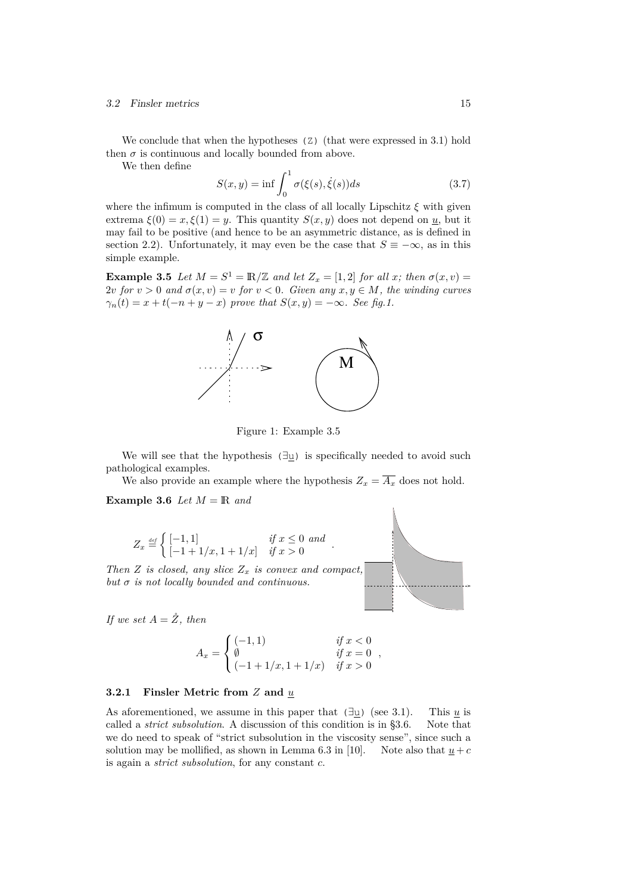#### 3.2 Finsler metrics 15

We conclude that when the hypotheses (Z) (that were expressed in 3.1) hold then  $\sigma$  is continuous and locally bounded from above.

We then define

$$
S(x,y) = \inf \int_0^1 \sigma(\xi(s), \dot{\xi}(s))ds
$$
\n(3.7)

where the infimum is computed in the class of all locally Lipschitz  $\xi$  with given extrema  $\xi(0) = x, \xi(1) = y$ . This quantity  $S(x, y)$  does not depend on *u*, but it may fail to be positive (and hence to be an asymmetric distance, as is defined in section 2.2). Unfortunately, it may even be the case that  $S \equiv -\infty$ , as in this simple example.

**Example 3.5** *Let*  $M = S^1 = \mathbb{R}/\mathbb{Z}$  *and let*  $Z_x = [1,2]$  *for all x; then*  $\sigma(x, v) =$ 2*v for*  $v > 0$  *and*  $\sigma(x, v) = v$  *for*  $v < 0$ *. Given any*  $x, y \in M$ *, the winding curves*  $\gamma_n(t) = x + t(-n + y - x)$  *prove that*  $S(x, y) = -\infty$ *. See fig.1.* 



Figure 1: Example 3.5

We will see that the hypothesis (*∃*u) is specifically needed to avoid such pathological examples.

We also provide an example where the hypothesis  $Z_x = \overline{A_x}$  does not hold.

**Example 3.6** *Let*  $M = \mathbb{R}$  *and* 

$$
Z_x \stackrel{\text{def}}{=} \begin{cases} [-1,1] & \text{if } x \le 0 \text{ and} \\ [-1+1/x, 1+1/x] & \text{if } x > 0 \end{cases}.
$$

*Then Z is closed, any slice Z<sup>x</sup> is convex and compact, but σ is not locally bounded and continuous.*

*If we set*  $A = \overset{\circ}{Z}$ *, then* 

$$
A_x = \begin{cases} (-1,1) & \text{if } x < 0\\ \emptyset & \text{if } x = 0\\ (-1+1/x, 1+1/x) & \text{if } x > 0 \end{cases}
$$

*,*

 $\setminus$ 

### **3.2.1 Finsler Metric from** *Z* **and** *u*

As aforementioned, we assume in this paper that  $(\exists u)$  (see 3.1). This <u>*u*</u> is called a *strict subsolution*. A discussion of this condition is in §3.6. Note that we do need to speak of "strict subsolution in the viscosity sense", since such a solution may be mollified, as shown in Lemma 6.3 in [10]. Note also that  $u + c$ is again a *strict subsolution*, for any constant *c*.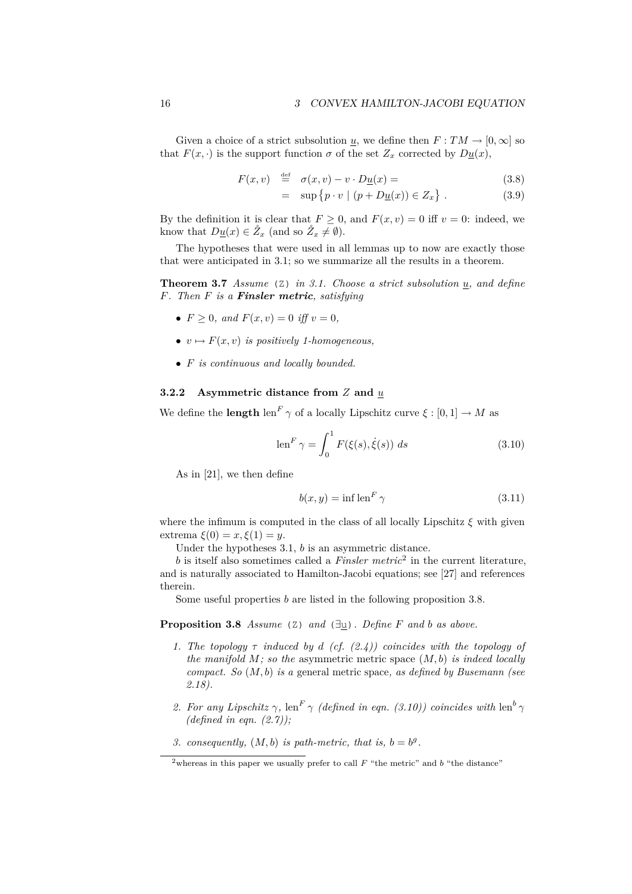Given a choice of a strict subsolution <u>*u*</u>, we define then  $F: TM \rightarrow [0, \infty]$  so that  $F(x, \cdot)$  is the support function  $\sigma$  of the set  $Z_x$  corrected by  $D_{\underline{u}}(x)$ ,

$$
F(x, v) \stackrel{\text{def}}{=} \sigma(x, v) - v \cdot D\underline{u}(x) = \tag{3.8}
$$

$$
= \sup \{ p \cdot v \mid (p + D\underline{u}(x)) \in Z_x \} . \tag{3.9}
$$

By the definition it is clear that  $F \geq 0$ , and  $F(x, v) = 0$  iff  $v = 0$ : indeed, we know that  $D_{\mathcal{U}}(x) \in \mathring{Z}_x$  (and so  $\mathring{Z}_x \neq \emptyset$ ).

The hypotheses that were used in all lemmas up to now are exactly those that were anticipated in 3.1; so we summarize all the results in a theorem.

**Theorem 3.7** *Assume* ( $\text{Z}$ ) *in 3.1. Choose a strict subsolution*  $\underline{u}$ *, and define F. Then F is a Finsler metric, satisfying*

- $F \geq 0$ *, and*  $F(x, v) = 0$  *iff*  $v = 0$ *,*
- $v \mapsto F(x, v)$  *is positively 1-homogeneous.*
- *• F is continuous and locally bounded.*

### **3.2.2 Asymmetric distance from** *Z* **and** *u*

We define the **length** len<sup>F</sup>  $\gamma$  of a locally Lipschitz curve  $\xi : [0,1] \to M$  as

$$
\operatorname{len}^F \gamma = \int_0^1 F(\xi(s), \dot{\xi}(s)) \ ds \tag{3.10}
$$

As in [21], we then define

$$
b(x, y) = \inf \operatorname{len}^F \gamma \tag{3.11}
$$

where the infimum is computed in the class of all locally Lipschitz  $\xi$  with given extrema *ξ*(0) = *x, ξ*(1) = *y*.

Under the hypotheses 3.1, *b* is an asymmetric distance.

*b* is itself also sometimes called a *Finsler metric*<sup>2</sup> in the current literature, and is naturally associated to Hamilton-Jacobi equations; see [27] and references therein.

Some useful properties *b* are listed in the following proposition 3.8.

**Proposition 3.8** *Assume* (Z) *and* (*∃*u)*. Define F and b as above.*

- *1. The topology τ induced by d (cf. (2.4)) coincides with the topology of the manifold M; so the* asymmetric metric space (*M, b*) *is indeed locally compact. So* (*M, b*) *is a* general metric space*, as defined by Busemann (see 2.18).*
- 2. For any Lipschitz  $\gamma$ , len<sup>F</sup>  $\gamma$  (defined in eqn. (3.10)) coincides with len<sup>b</sup> *(defined in eqn. (2.7));*
- 3. *consequently,*  $(M, b)$  *is path-metric, that is,*  $b = b^g$ .

<sup>&</sup>lt;sup>2</sup>whereas in this paper we usually prefer to call  $F$  "the metric" and  $b$  "the distance"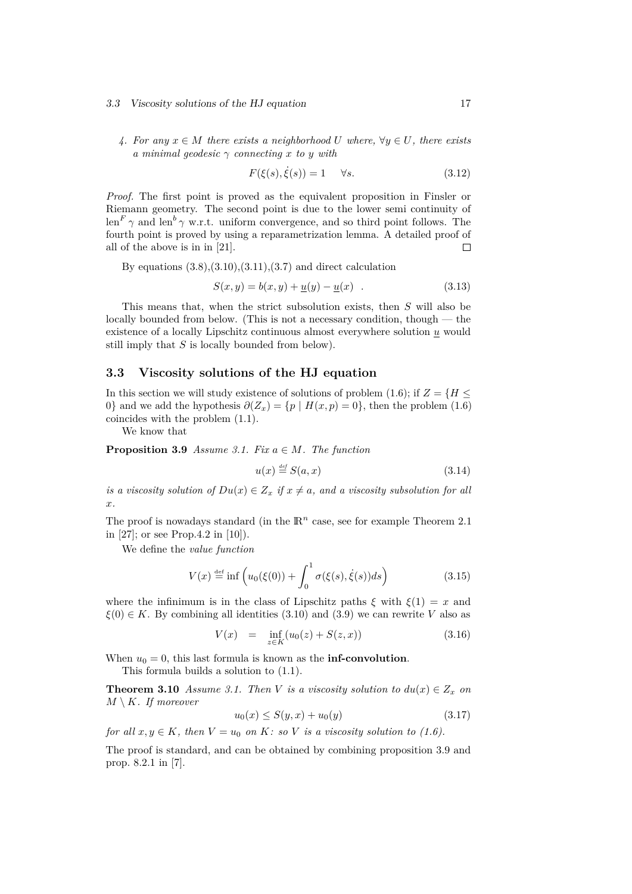#### 3.3 Viscosity solutions of the HJ equation 17

*4. For any x ∈ M there exists a neighborhood U where, ∀y ∈ U, there exists a minimal geodesic γ connecting x to y with*

$$
F(\xi(s), \dot{\xi}(s)) = 1 \quad \forall s. \tag{3.12}
$$

*Proof.* The first point is proved as the equivalent proposition in Finsler or Riemann geometry. The second point is due to the lower semi continuity of  $\operatorname{len}^F \gamma$  and  $\operatorname{len}^b \gamma$  w.r.t. uniform convergence, and so third point follows. The fourth point is proved by using a reparametrization lemma. A detailed proof of all of the above is in in [21].  $\Box$ 

By equations  $(3.8), (3.10), (3.11), (3.7)$  and direct calculation

$$
S(x, y) = b(x, y) + \underline{u}(y) - \underline{u}(x) .
$$
 (3.13)

This means that, when the strict subsolution exists, then *S* will also be locally bounded from below. (This is not a necessary condition, though — the existence of a locally Lipschitz continuous almost everywhere solution *u* would still imply that *S* is locally bounded from below).

### **3.3 Viscosity solutions of the HJ equation**

In this section we will study existence of solutions of problem (1.6); if  $Z = \{H \leq \}$ 0<sup>}</sup> and we add the hypothesis  $\partial(Z_x) = \{p \mid H(x, p) = 0\}$ , then the problem (1.6) coincides with the problem (1.1).

We know that

**Proposition 3.9** *Assume 3.1. Fix*  $a \in M$ *. The function* 

$$
u(x) \stackrel{\text{def}}{=} S(a, x) \tag{3.14}
$$

*is a viscosity solution of*  $Du(x) \in Z_x$  *if*  $x \neq a$ *, and a viscosity subsolution for all x.*

The proof is nowadays standard (in the  $\mathbb{R}^n$  case, see for example Theorem 2.1 in [27]; or see Prop.4.2 in [10]).

We define the *value function*

$$
V(x) \stackrel{\text{def}}{=} \inf \left( u_0(\xi(0)) + \int_0^1 \sigma(\xi(s), \dot{\xi}(s)) ds \right) \tag{3.15}
$$

where the infinimum is in the class of Lipschitz paths  $\xi$  with  $\xi(1) = x$  and  $\xi(0) \in K$ . By combining all identities (3.10) and (3.9) we can rewrite *V* also as

$$
V(x) = \inf_{z \in K} (u_0(z) + S(z, x))
$$
\n(3.16)

When  $u_0 = 0$ , this last formula is known as the **inf-convolution**.

This formula builds a solution to (1.1).

**Theorem 3.10** *Assume 3.1. Then V is a viscosity solution to*  $du(x) \in Z_x$  *on*  $M \setminus K$ *. If moreover* 

$$
u_0(x) \le S(y, x) + u_0(y) \tag{3.17}
$$

*for all*  $x, y \in K$ *, then*  $V = u_0$  *on*  $K$ *: so*  $V$  *is a viscosity solution to (1.6).* 

The proof is standard, and can be obtained by combining proposition 3.9 and prop. 8.2.1 in [7].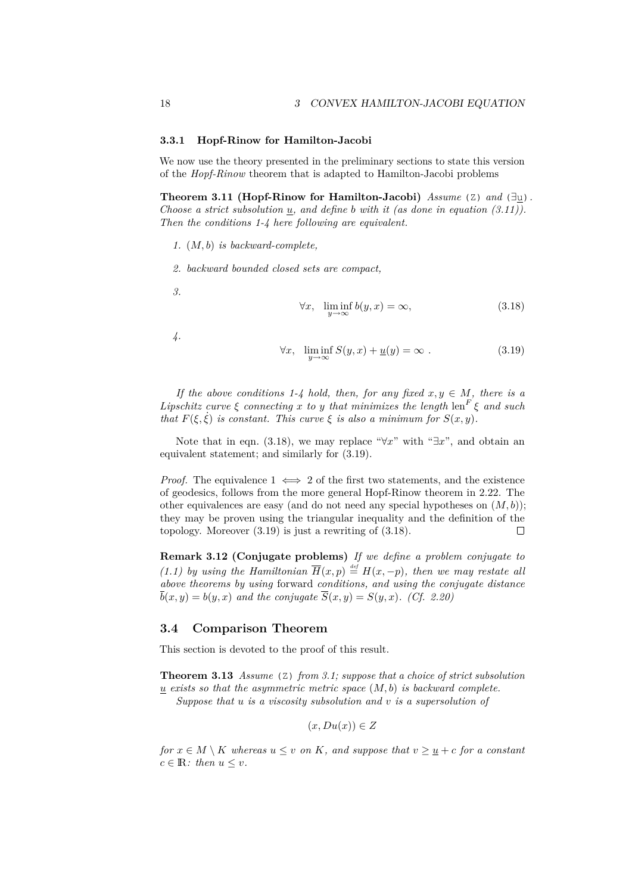### **3.3.1 Hopf-Rinow for Hamilton-Jacobi**

We now use the theory presented in the preliminary sections to state this version of the *Hopf-Rinow* theorem that is adapted to Hamilton-Jacobi problems

**Theorem 3.11 (Hopf-Rinow for Hamilton-Jacobi)** *Assume* (Z) *and* (*∃*u)*. Choose a strict subsolution u, and define b with it (as done in equation (3.11)). Then the conditions 1-4 here following are equivalent.*

- *1.* (*M, b*) *is backward-complete,*
- *2. backward bounded closed sets are compact,*

*3.*

$$
\forall x, \ \liminf_{y \to \infty} b(y, x) = \infty,
$$
\n(3.18)

*4.*

$$
\forall x, \ \liminf_{y \to \infty} S(y, x) + \underline{u}(y) = \infty \ . \tag{3.19}
$$

*If the above conditions 1-4 hold, then, for any fixed*  $x, y \in M$ , there is a *Lipschitz curve*  $\xi$  *connecting*  $x$  *to*  $y$  *that minimizes the length* len<sup> $F$ </sup>  $\xi$  *and such that*  $F(\xi, \dot{\xi})$  *is constant. This curve*  $\xi$  *is also a minimum for*  $S(x, y)$ *.* 

Note that in eqn. (3.18), we may replace " $\forall x$ " with " $\exists x$ ", and obtain an equivalent statement; and similarly for (3.19).

*Proof.* The equivalence  $1 \iff 2$  of the first two statements, and the existence of geodesics, follows from the more general Hopf-Rinow theorem in 2.22. The other equivalences are easy (and do not need any special hypotheses on  $(M, b)$ ); they may be proven using the triangular inequality and the definition of the topology. Moreover (3.19) is just a rewriting of (3.18).  $\Box$ 

**Remark 3.12 (Conjugate problems)** *If we define a problem conjugate to (1.1) by using the Hamiltonian*  $\overline{H}(x, p) \stackrel{\text{\tiny def}}{=} H(x, -p)$ , then we may restate all *above theorems by using* forward *conditions, and using the conjugate distance*  $\overline{b}(x, y) = b(y, x)$  *and the conjugate*  $\overline{S}(x, y) = S(y, x)$ *. (Cf. 2.20)* 

### **3.4 Comparison Theorem**

This section is devoted to the proof of this result.

**Theorem 3.13** *Assume* (Z) *from 3.1; suppose that a choice of strict subsolution u exists so that the asymmetric metric space* (*M, b*) *is backward complete.*

*Suppose that u is a viscosity subsolution and v is a supersolution of*

$$
(x, Du(x)) \in Z
$$

*for*  $x \in M \setminus K$  *whereas*  $u \leq v$  *on*  $K$ *, and suppose that*  $v \geq u + c$  *for a constant*  $c \in \mathbb{R}$ : then  $u \leq v$ .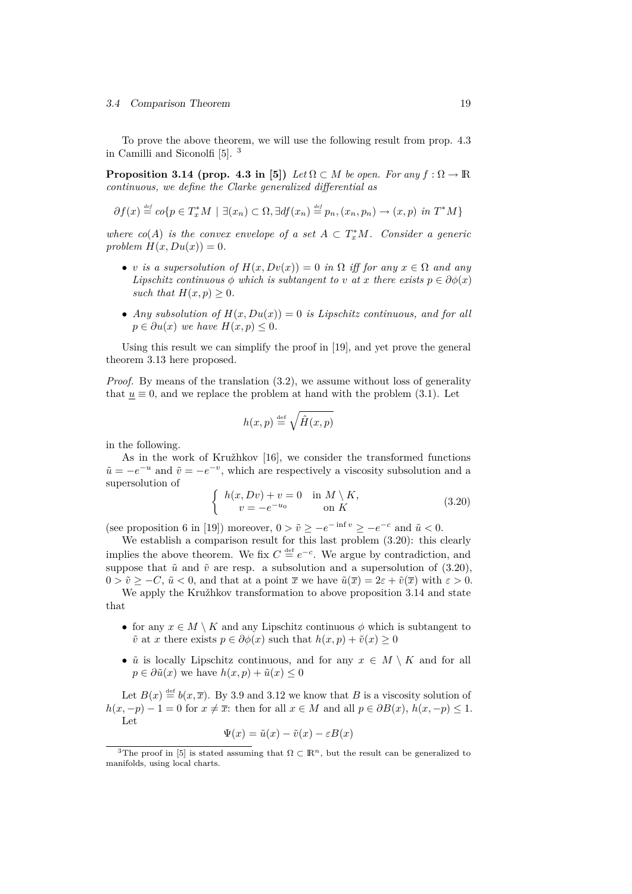### 3.4 Comparison Theorem 19

To prove the above theorem, we will use the following result from prop. 4.3 in Camilli and Siconolfi [5]. <sup>3</sup>

**Proposition 3.14 (prop. 4.3 in [5])** *Let*  $\Omega \subset M$  *be open. For any*  $f : \Omega \to \mathbb{R}$ *continuous, we define the Clarke generalized differential as*

$$
\partial f(x) \stackrel{\text{def}}{=} \text{co}\{p \in T_x^*M \mid \exists (x_n) \subset \Omega, \exists df(x_n) \stackrel{\text{def}}{=} p_n, (x_n, p_n) \to (x, p) \text{ in } T^*M\}
$$

*where*  $co(A)$  *is the convex envelope of a set*  $A \subset T_x^*M$ *. Consider a generic*  $problem H(x, Du(x)) = 0.$ 

- *v is a supersolution of*  $H(x, Dv(x)) = 0$  *in*  $\Omega$  *iff for any*  $x \in \Omega$  *and any Lipschitz continuous*  $\phi$  *which is subtangent to*  $v$  *at*  $x$  *there exists*  $p \in \partial \phi(x)$ *such that*  $H(x, p) \geq 0$ *.*
- *Any subsolution of*  $H(x, Du(x)) = 0$  *is Lipschitz continuous, and for all p* ∈  $\partial u(x)$  *we have*  $H(x, p) \leq 0$ *.*

Using this result we can simplify the proof in [19], and yet prove the general theorem 3.13 here proposed.

*Proof.* By means of the translation (3.2), we assume without loss of generality that  $u \equiv 0$ , and we replace the problem at hand with the problem (3.1). Let

$$
h(x,p) \stackrel{\text{def}}{=} \sqrt{\hat{H}(x,p)}
$$

in the following.

As in the work of Kružhkov [16], we consider the transformed functions  $\tilde{u} = -e^{-u}$  and  $\tilde{v} = -e^{-v}$ , which are respectively a viscosity subsolution and a supersolution of

$$
\begin{cases}\nh(x, Dv) + v = 0 & \text{in } M \setminus K, \\
v = -e^{-u_0} & \text{on } K\n\end{cases}
$$
\n(3.20)

(see proposition 6 in [19]) moreover,  $0 > \tilde{v} \ge -e^{-\inf v} \ge -e^{-c}$  and  $\tilde{u} < 0$ .

We establish a comparison result for this last problem  $(3.20)$ : this clearly implies the above theorem. We fix  $C \stackrel{\text{def}}{=} e^{-c}$ . We argue by contradiction, and suppose that  $\tilde{u}$  and  $\tilde{v}$  are resp. a subsolution and a supersolution of (3.20),  $0 > \tilde{v} > -C$ ,  $\tilde{u} < 0$ , and that at a point  $\bar{x}$  we have  $\tilde{u}(\bar{x}) = 2\varepsilon + \tilde{v}(\bar{x})$  with  $\varepsilon > 0$ .

We apply the Kružhkov transformation to above proposition 3.14 and state that

- for any  $x \in M \setminus K$  and any Lipschitz continuous  $\phi$  which is subtangent to  $\tilde{v}$  at *x* there exists  $p \in \partial \phi(x)$  such that  $h(x, p) + \tilde{v}(x) \geq 0$
- $\tilde{u}$  is locally Lipschitz continuous, and for any  $x \in M \setminus K$  and for all  $p \in \partial \tilde{u}(x)$  we have  $h(x, p) + \tilde{u}(x) \leq 0$

Let  $B(x) \stackrel{\text{def}}{=} b(x, \overline{x})$ . By 3.9 and 3.12 we know that *B* is a viscosity solution of  $h(x, -p) - 1 = 0$  for  $x \neq \overline{x}$ : then for all  $x \in M$  and all  $p \in \partial B(x)$ ,  $h(x, -p) \leq 1$ . Let

$$
\Psi(x) = \tilde{u}(x) - \tilde{v}(x) - \varepsilon B(x)
$$

<sup>&</sup>lt;sup>3</sup>The proof in [5] is stated assuming that  $\Omega \subset \mathbb{R}^n$ , but the result can be generalized to manifolds, using local charts.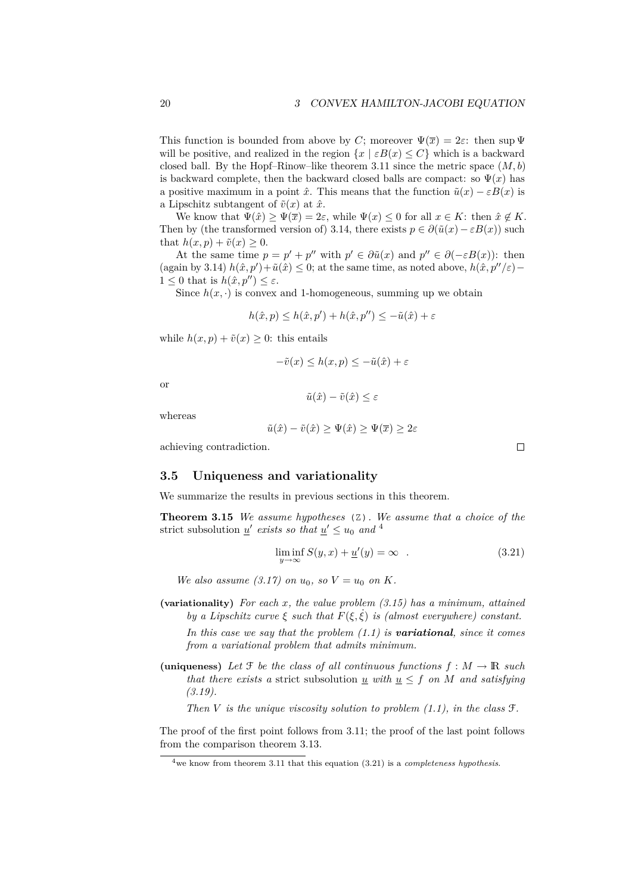This function is bounded from above by *C*; moreover  $\Psi(\overline{x}) = 2\varepsilon$ : then sup  $\Psi$ will be positive, and realized in the region  $\{x \mid \varepsilon B(x) \leq C\}$  which is a backward closed ball. By the Hopf–Rinow–like theorem 3.11 since the metric space  $(M, b)$ is backward complete, then the backward closed balls are compact: so  $\Psi(x)$  has a positive maximum in a point  $\hat{x}$ . This means that the function  $\tilde{u}(x) - \varepsilon B(x)$  is a Lipschitz subtangent of  $\tilde{v}(x)$  at  $\hat{x}$ .

We know that  $\Psi(\hat{x}) > \Psi(\overline{x}) = 2\varepsilon$ , while  $\Psi(x) \leq 0$  for all  $x \in K$ : then  $\hat{x} \notin K$ . Then by (the transformed version of) 3.14, there exists  $p \in \partial(\tilde{u}(x) - \varepsilon B(x))$  such that  $h(x, p) + \tilde{v}(x) \geq 0$ .

At the same time  $p = p' + p''$  with  $p' \in \partial \tilde{u}(x)$  and  $p'' \in \partial (-\varepsilon B(x))$ : then  $(\text{again by 3.14})$   $h(\hat{x}, p') + \tilde{u}(\hat{x}) \leq 0$ ; at the same time, as noted above,  $h(\hat{x}, p''/\varepsilon) 1 \leq 0$  that is  $h(\hat{x}, p'') \leq \varepsilon$ .

Since  $h(x, \cdot)$  is convex and 1-homogeneous, summing up we obtain

$$
h(\hat{x}, p) \le h(\hat{x}, p') + h(\hat{x}, p'') \le -\tilde{u}(\hat{x}) + \varepsilon
$$

while  $h(x, p) + \tilde{v}(x) \geq 0$ : this entails

$$
-\tilde{v}(x) \le h(x, p) \le -\tilde{u}(\hat{x}) + \varepsilon
$$

or

$$
\tilde{u}(\hat{x}) - \tilde{v}(\hat{x}) \le \varepsilon
$$

whereas

$$
\tilde{u}(\hat{x}) - \tilde{v}(\hat{x}) \ge \Psi(\hat{x}) \ge \Psi(\overline{x}) \ge 2\varepsilon
$$

achieving contradiction.

### **3.5 Uniqueness and variationality**

We summarize the results in previous sections in this theorem.

**Theorem 3.15** *We assume hypotheses* (Z)*. We assume that a choice of the* strict subsolution <u>*u*' *exists so that*  $u' \le u_0$  *and* <sup>4</sup></u>

$$
\liminf_{y \to \infty} S(y, x) + \underline{u}'(y) = \infty \quad . \tag{3.21}
$$

*We also assume (3.17) on*  $u_0$ , so  $V = u_0$  on  $K$ .

**(variationality)** *For each x, the value problem (3.15) has a minimum, attained by a Lipschitz curve*  $\xi$  *such that*  $F(\xi, \xi)$  *is (almost everywhere) constant.* 

*In this case we say that the problem (1.1) is variational, since it comes from a variational problem that admits minimum.*

(uniqueness) Let  $\mathcal{F}$  *be the class of all continuous functions*  $f : M \to \mathbb{R}$  *such that there exists a* strict subsolution *u with*  $u \leq f$  *on M and satisfying (3.19).*

*Then V is the unique viscosity solution to problem (1.1), in the class* F*.*

The proof of the first point follows from 3.11; the proof of the last point follows from the comparison theorem 3.13.

 $\Box$ 

<sup>4</sup>we know from theorem 3.11 that this equation (3.21) is a *completeness hypothesis*.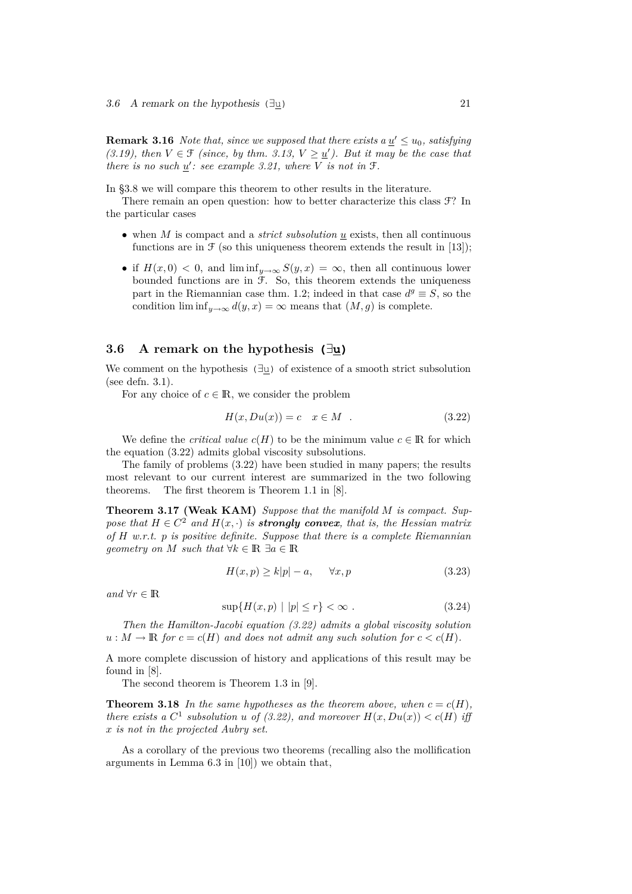**Remark 3.16** *Note that, since we supposed that there exists a*  $\underline{u}' \le u_0$ *, satisfying* (3.19), then  $V \in \mathcal{F}$  (since, by thm. 3.13,  $V \geq \underline{u}'$ ). But it may be the case that *there is no such*  $\underline{u}'$ : see example 3.21, where V is not in F.

In §3.8 we will compare this theorem to other results in the literature.

There remain an open question: how to better characterize this class F? In the particular cases

- *•* when *M* is compact and a *strict subsolution u* exists, then all continuous functions are in  $\mathfrak F$  (so this uniqueness theorem extends the result in [13]);
- if  $H(x,0) < 0$ , and  $\liminf_{y\to\infty} S(y,x) = \infty$ , then all continuous lower bounded functions are in  $\mathfrak{F}$ . So, this theorem extends the uniqueness part in the Riemannian case thm. 1.2; indeed in that case  $d^g \equiv S$ , so the condition  $\liminf_{y\to\infty} d(y, x) = \infty$  means that  $(M, g)$  is complete.

### **3.6 A remark on the hypothesis (***∃***u)**

We comment on the hypothesis (*∃*u) of existence of a smooth strict subsolution (see defn. 3.1).

For any choice of  $c \in \mathbb{R}$ , we consider the problem

$$
H(x, Du(x)) = c \quad x \in M \quad . \tag{3.22}
$$

We define the *critical value*  $c(H)$  to be the minimum value  $c \in \mathbb{R}$  for which the equation (3.22) admits global viscosity subsolutions.

The family of problems (3.22) have been studied in many papers; the results most relevant to our current interest are summarized in the two following theorems. The first theorem is Theorem 1.1 in [8].

**Theorem 3.17 (Weak KAM)** *Suppose that the manifold M is compact. Suppose that*  $H \in C^2$  *and*  $H(x, \cdot)$  *is strongly convex, that is, the Hessian matrix of H w.r.t. p is positive definite. Suppose that there is a complete Riemannian geometry on M such that*  $\forall k \in \mathbb{R}$   $\exists a \in \mathbb{R}$ 

$$
H(x,p) \ge k|p| - a, \quad \forall x, p \tag{3.23}
$$

*and*  $\forall r \in \mathbb{R}$ 

$$
\sup\{H(x,p) \mid |p| \le r\} < \infty \tag{3.24}
$$

*Then the Hamilton-Jacobi equation (3.22) admits a global viscosity solution*  $u : M \to \mathbb{R}$  *for*  $c = c(H)$  *and does not admit any such solution for*  $c < c(H)$ *.* 

A more complete discussion of history and applications of this result may be found in [8].

The second theorem is Theorem 1.3 in [9].

**Theorem 3.18** In the same hypotheses as the theorem above, when  $c = c(H)$ , *there exists* a  $C^1$  subsolution *u* of (3.22), and moreover  $H(x, Du(x)) < c(H)$  iff *x is not in the projected Aubry set.*

As a corollary of the previous two theorems (recalling also the mollification arguments in Lemma 6.3 in [10]) we obtain that,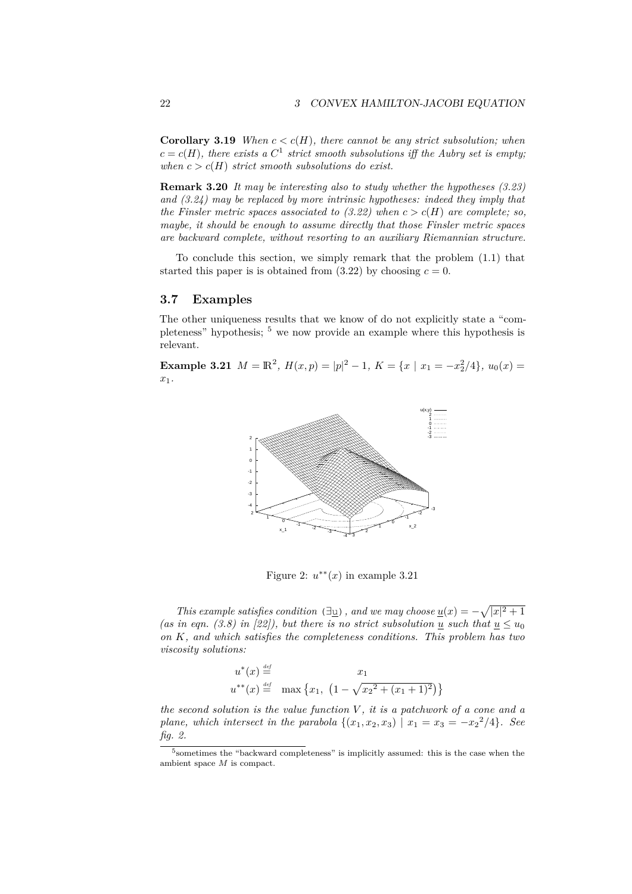**Corollary 3.19** *When*  $c < c(H)$ *, there cannot be any strict subsolution; when*  $c = c(H)$ , there exists a  $C^1$  strict smooth subsolutions iff the Aubry set is empty; *when*  $c > c(H)$  *strict smooth subsolutions do exist.* 

**Remark 3.20** *It may be interesting also to study whether the hypotheses (3.23) and (3.24) may be replaced by more intrinsic hypotheses: indeed they imply that the Finsler metric spaces associated to (3.22) when*  $c > c(H)$  *are complete; so, maybe, it should be enough to assume directly that those Finsler metric spaces are backward complete, without resorting to an auxiliary Riemannian structure.*

To conclude this section, we simply remark that the problem (1.1) that started this paper is is obtained from  $(3.22)$  by choosing  $c = 0$ .

### **3.7 Examples**

The other uniqueness results that we know of do not explicitly state a "completeness" hypothesis; <sup>5</sup> we now provide an example where this hypothesis is relevant.

**Example 3.21**  $M = \mathbb{R}^2$ ,  $H(x, p) = |p|^2 - 1$ ,  $K = \{x \mid x_1 = -x_2^2/4\}$ ,  $u_0(x) =$ *x*1*.*



Figure 2:  $u^{**}(x)$  in example 3.21

*This example satisfies condition* ( $\exists$ <u>u</u>), and we may choose <u> $u(x) = -\sqrt{|x|^2 + 1}$ </u> *(as in eqn. (3.8) in [22]), but there is no strict subsolution <i>u* such that  $u \leq u_0$ *on K, and which satisfies the completeness conditions. This problem has two viscosity solutions:*

$$
u^*(x) \stackrel{\text{def}}{=} \quad x_1
$$
  

$$
u^{**}(x) \stackrel{\text{def}}{=} \quad \max \left\{ x_1, \ \left( 1 - \sqrt{x_2^2 + (x_1 + 1)^2} \right) \right\}
$$

*the second solution is the value function V , it is a patchwork of a cone and a plane, which intersect in the parabola*  $\{(x_1, x_2, x_3) | x_1 = x_3 = -x_2^2/4\}$ *. See fig. 2.*

<sup>&</sup>lt;sup>5</sup> sometimes the "backward completeness" is implicitly assumed: this is the case when the ambient space *M* is compact.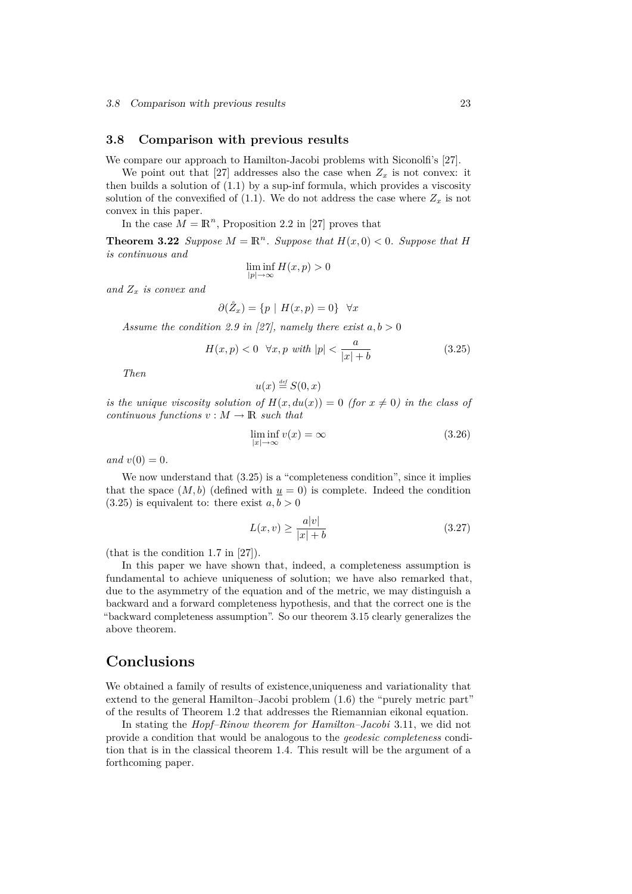### **3.8 Comparison with previous results**

We compare our approach to Hamilton-Jacobi problems with Siconolfi's [27].

We point out that [27] addresses also the case when  $Z_x$  is not convex: it then builds a solution of  $(1.1)$  by a sup-inf formula, which provides a viscosity solution of the convexified of  $(1.1)$ . We do not address the case where  $Z_x$  is not convex in this paper.

In the case  $M = \mathbb{R}^n$ , Proposition 2.2 in [27] proves that

**Theorem 3.22** *Suppose*  $M = \mathbb{R}^n$ *. Suppose that*  $H(x, 0) < 0$ *. Suppose that H is continuous and*

$$
\liminf_{|p| \to \infty} H(x, p) > 0
$$

*and Z<sup>x</sup> is convex and*

$$
\partial(\mathring{Z}_x) = \{ p \mid H(x, p) = 0 \} \quad \forall x
$$

*Assume the condition 2.9 in [27], namely there exist*  $a, b > 0$ 

$$
H(x,p) < 0 \quad \forall x, p \text{ with } |p| < \frac{a}{|x| + b} \tag{3.25}
$$

*Then*

$$
u(x) \stackrel{\scriptscriptstyle\rm def}{=} S(0,x)
$$

*is the unique viscosity solution of*  $H(x, du(x)) = 0$  *(for*  $x \neq 0$ *) in the class of continuous functions*  $v : M \to \mathbb{R}$  *such that* 

$$
\liminf_{|x| \to \infty} v(x) = \infty \tag{3.26}
$$

*and*  $v(0) = 0$ *.* 

We now understand that  $(3.25)$  is a "completeness condition", since it implies that the space  $(M, b)$  (defined with  $u = 0$ ) is complete. Indeed the condition  $(3.25)$  is equivalent to: there exist  $a, b > 0$ 

$$
L(x,v) \ge \frac{a|v|}{|x|+b} \tag{3.27}
$$

(that is the condition 1.7 in [27]).

In this paper we have shown that, indeed, a completeness assumption is fundamental to achieve uniqueness of solution; we have also remarked that, due to the asymmetry of the equation and of the metric, we may distinguish a backward and a forward completeness hypothesis, and that the correct one is the "backward completeness assumption". So our theorem 3.15 clearly generalizes the above theorem.

### **Conclusions**

We obtained a family of results of existence,uniqueness and variationality that extend to the general Hamilton–Jacobi problem (1.6) the "purely metric part" of the results of Theorem 1.2 that addresses the Riemannian eikonal equation.

In stating the *Hopf–Rinow theorem for Hamilton–Jacobi* 3.11, we did not provide a condition that would be analogous to the *geodesic completeness* condition that is in the classical theorem 1.4. This result will be the argument of a forthcoming paper.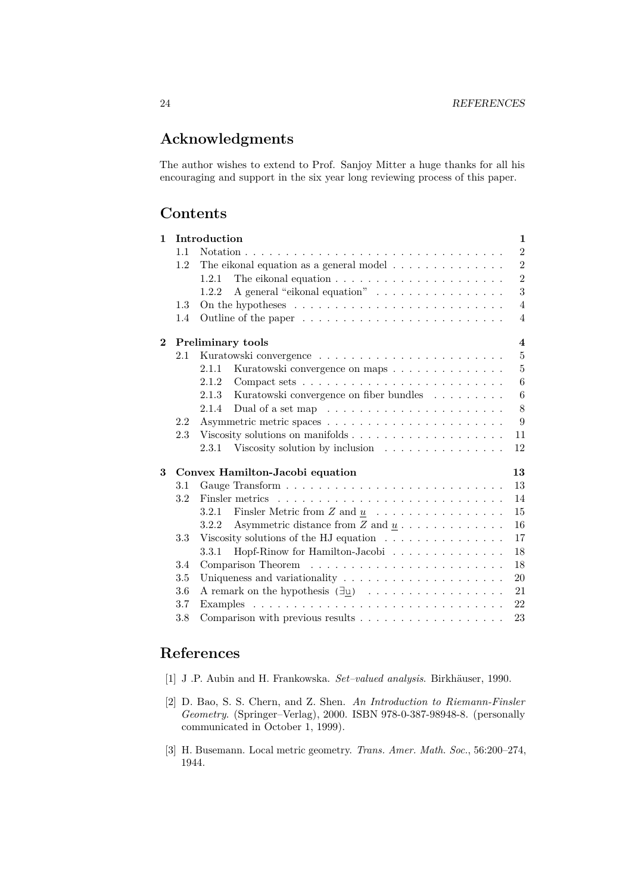# **Acknowledgments**

The author wishes to extend to Prof. Sanjoy Mitter a huge thanks for all his encouraging and support in the six year long reviewing process of this paper.

### **Contents**

| $\mathbf{1}$ |         | Introduction                                                                    | $\mathbf{1}$            |
|--------------|---------|---------------------------------------------------------------------------------|-------------------------|
|              | 1.1     |                                                                                 | $\overline{2}$          |
|              | 1.2     | The eikonal equation as a general model $\ldots \ldots \ldots \ldots$           | $\overline{2}$          |
|              |         | 1.2.1                                                                           | $\overline{2}$          |
|              |         | A general "eikonal equation"<br>1.2.2                                           | 3                       |
|              | 1.3     | On the hypotheses $\dots \dots \dots \dots \dots \dots \dots \dots \dots \dots$ | $\overline{4}$          |
|              | 1.4     |                                                                                 | $\overline{4}$          |
| $\bf{2}$     |         | <b>Preliminary tools</b>                                                        | $\overline{\mathbf{4}}$ |
|              | 2.1     |                                                                                 | $\overline{5}$          |
|              |         | Kuratowski convergence on maps<br>2.1.1                                         | $\overline{5}$          |
|              |         | 2.1.2                                                                           | 6                       |
|              |         | 2.1.3<br>Kuratowski convergence on fiber bundles                                | 6                       |
|              |         | Dual of a set map $\ldots \ldots \ldots \ldots \ldots \ldots \ldots$<br>2.1.4   | 8                       |
|              | 2.2     |                                                                                 | 9                       |
|              | 2.3     |                                                                                 | 11                      |
|              |         | Viscosity solution by inclusion $\ldots \ldots \ldots \ldots \ldots$<br>2.3.1   | 12                      |
| 3            |         | Convex Hamilton-Jacobi equation                                                 | 13                      |
|              | 3.1     |                                                                                 | 13                      |
|              | 3.2     |                                                                                 | 14                      |
|              |         | Finsler Metric from $Z$ and $\underline{u}$<br>3.2.1                            | 15                      |
|              |         | Asymmetric distance from $Z$ and $\underline{u}$<br>3.2.2                       | 16                      |
|              | 3.3     | Viscosity solutions of the HJ equation $\ldots \ldots \ldots \ldots \ldots$     | 17                      |
|              |         | Hopf-Rinow for Hamilton-Jacobi<br>3.3.1                                         | 18                      |
|              | 3.4     |                                                                                 | 18                      |
|              | 3.5     |                                                                                 | 20                      |
|              | 3.6     | A remark on the hypothesis $(\exists u) \dots \dots \dots \dots \dots \dots$    | 21                      |
|              | 3.7     |                                                                                 | 22                      |
|              | $3.8\,$ | Comparison with previous results $\dots \dots \dots \dots \dots \dots$          | 23                      |

## **References**

- [1] J .P. Aubin and H. Frankowska. *Set–valued analysis*. Birkhäuser, 1990.
- [2] D. Bao, S. S. Chern, and Z. Shen. *An Introduction to Riemann-Finsler Geometry*. (Springer–Verlag), 2000. ISBN 978-0-387-98948-8. (personally communicated in October 1, 1999).
- [3] H. Busemann. Local metric geometry. *Trans. Amer. Math. Soc.*, 56:200–274, 1944.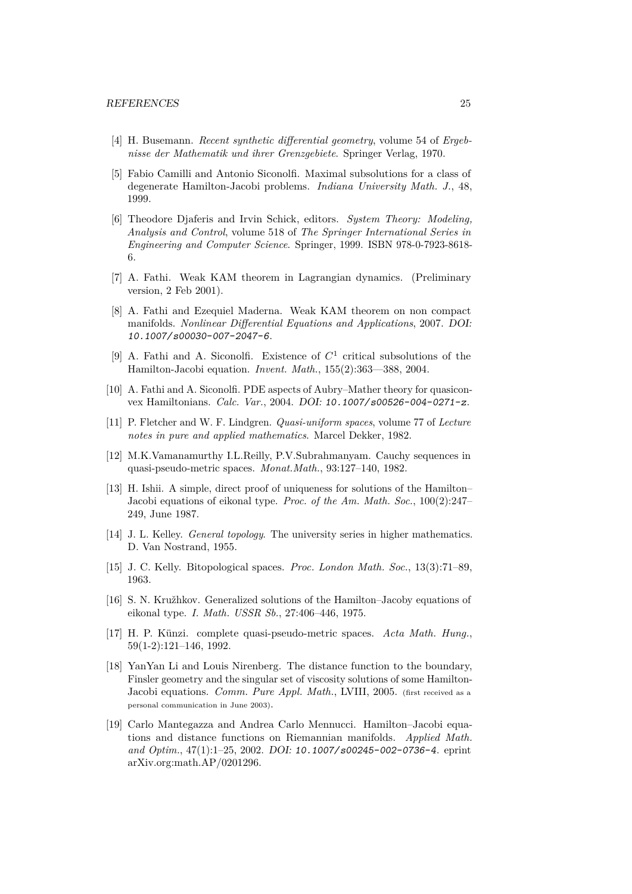- [4] H. Busemann. *Recent synthetic differential geometry*, volume 54 of *Ergebnisse der Mathematik und ihrer Grenzgebiete*. Springer Verlag, 1970.
- [5] Fabio Camilli and Antonio Siconolfi. Maximal subsolutions for a class of degenerate Hamilton-Jacobi problems. *Indiana University Math. J.*, 48, 1999.
- [6] Theodore Djaferis and Irvin Schick, editors. *System Theory: Modeling, Analysis and Control*, volume 518 of *The Springer International Series in Engineering and Computer Science*. Springer, 1999. ISBN 978-0-7923-8618- 6.
- [7] A. Fathi. Weak KAM theorem in Lagrangian dynamics. (Preliminary version, 2 Feb 2001).
- [8] A. Fathi and Ezequiel Maderna. Weak KAM theorem on non compact manifolds. *Nonlinear Differential Equations and Applications*, 2007. DOI: 10.1007/s00030-007-2047-6.
- [9] A. Fathi and A. Siconolfi. Existence of  $C<sup>1</sup>$  critical subsolutions of the Hamilton-Jacobi equation. *Invent. Math.*, 155(2):363—388, 2004.
- [10] A. Fathi and A. Siconolfi. PDE aspects of Aubry–Mather theory for quasiconvex Hamiltonians. *Calc. Var.*, 2004. DOI: 10.1007/s00526-004-0271-z.
- [11] P. Fletcher and W. F. Lindgren. *Quasi-uniform spaces*, volume 77 of *Lecture notes in pure and applied mathematics*. Marcel Dekker, 1982.
- [12] M.K.Vamanamurthy I.L.Reilly, P.V.Subrahmanyam. Cauchy sequences in quasi-pseudo-metric spaces. *Monat.Math.*, 93:127–140, 1982.
- [13] H. Ishii. A simple, direct proof of uniqueness for solutions of the Hamilton– Jacobi equations of eikonal type. *Proc. of the Am. Math. Soc.*, 100(2):247– 249, June 1987.
- [14] J. L. Kelley. *General topology*. The university series in higher mathematics. D. Van Nostrand, 1955.
- [15] J. C. Kelly. Bitopological spaces. *Proc. London Math. Soc.*, 13(3):71–89, 1963.
- [16] S. N. Kružhkov. Generalized solutions of the Hamilton–Jacoby equations of eikonal type. *I. Math. USSR Sb.*, 27:406–446, 1975.
- [17] H. P. Künzi. complete quasi-pseudo-metric spaces. *Acta Math. Hung.*, 59(1-2):121–146, 1992.
- [18] YanYan Li and Louis Nirenberg. The distance function to the boundary, Finsler geometry and the singular set of viscosity solutions of some Hamilton-Jacobi equations. *Comm. Pure Appl. Math.*, LVIII, 2005. (first received as a personal communication in June 2003).
- [19] Carlo Mantegazza and Andrea Carlo Mennucci. Hamilton–Jacobi equations and distance functions on Riemannian manifolds. *Applied Math. and Optim.*, 47(1):1–25, 2002. DOI: 10.1007/s00245-002-0736-4. eprint arXiv.org:math.AP/0201296.